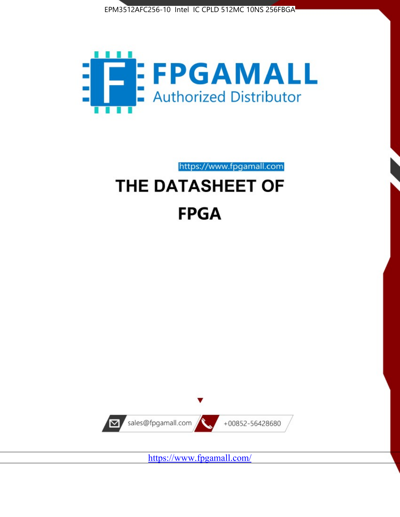



https://www.fpgamall.com

# THE DATASHEET OF **FPGA**



<https://www.fpgamall.com/>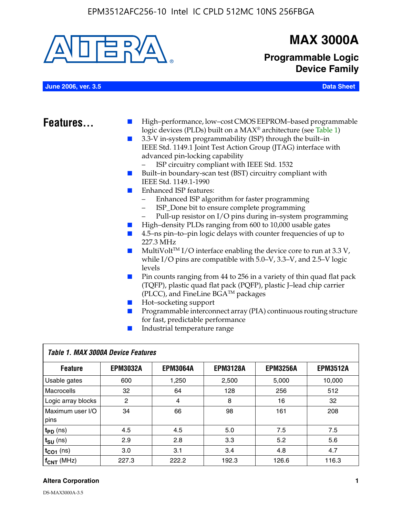

## **MAX 3000A**

**Programmable Logic Device Family**

**June 2006, ver. 3.5 Data Sheet**

- **Features.** High–performance, low–cost CMOS EEPROM–based programmable logic devices (PLDs) built on a MAX® architecture (see Table 1)
	- 3.3-V in-system programmability (ISP) through the built–in IEEE Std. 1149.1 Joint Test Action Group (JTAG) interface with advanced pin-locking capability
		- ISP circuitry compliant with IEEE Std. 1532
	- Built–in boundary-scan test (BST) circuitry compliant with IEEE Std. 1149.1-1990
	- Enhanced ISP features:
		- Enhanced ISP algorithm for faster programming
		- ISP\_Done bit to ensure complete programming
		- Pull-up resistor on I/O pins during in–system programming
	- High–density PLDs ranging from 600 to 10,000 usable gates
	- 4.5–ns pin–to–pin logic delays with counter frequencies of up to 227.3 MHz
	- $\blacksquare$  MultiVolt<sup>TM</sup> I/O interface enabling the device core to run at 3.3 V, while I/O pins are compatible with 5.0–V, 3.3–V, and 2.5–V logic levels
	- Pin counts ranging from 44 to 256 in a variety of thin quad flat pack (TQFP), plastic quad flat pack (PQFP), plastic J–lead chip carrier (PLCC), and FineLine BGATM packages
	- Hot–socketing support
	- Programmable interconnect array (PIA) continuous routing structure for fast, predictable performance
	- Industrial temperature range

| Table 1. MAX 3000A Device Features |                 |                 |                 |                 |                 |  |
|------------------------------------|-----------------|-----------------|-----------------|-----------------|-----------------|--|
| <b>Feature</b>                     | <b>EPM3032A</b> | <b>EPM3064A</b> | <b>EPM3128A</b> | <b>EPM3256A</b> | <b>EPM3512A</b> |  |
| Usable gates                       | 600             | 1,250           | 2,500           | 5,000           | 10.000          |  |
| <b>Macrocells</b>                  | 32              | 64              | 128             | 256             | 512             |  |
| Logic array blocks                 | 2               | 4               | 8               | 16              | 32              |  |
| Maximum user I/O<br>pins           | 34              | 66              | 98              | 161             | 208             |  |
| $t_{PD}$ (ns)                      | 4.5             | 4.5             | 5.0             | 7.5             | 7.5             |  |
| $t_{\text{SU}}$ (ns)               | 2.9             | 2.8             | 3.3             | 5.2             | 5.6             |  |
| $t_{CO1}$ (ns)                     | 3.0             | 3.1             | 3.4             | 4.8             | 4.7             |  |
| $f_{CNT}$ (MHz)                    | 227.3           | 222.2           | 192.3           | 126.6           | 116.3           |  |

#### **Altera Corporation 1**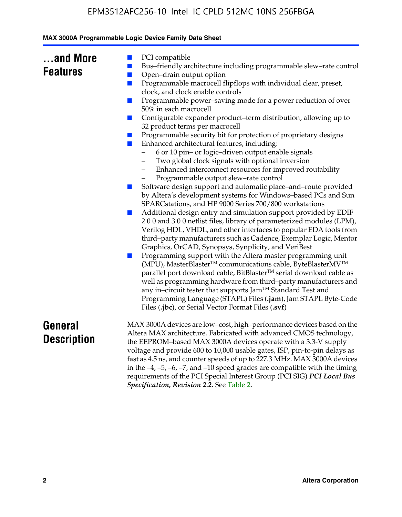|  | MAX 3000A Programmable Logic Device Family Data Sheet |  |  |  |
|--|-------------------------------------------------------|--|--|--|
|--|-------------------------------------------------------|--|--|--|

| and More        |  |
|-----------------|--|
| <b>Features</b> |  |

- PCI compatible
- Bus–friendly architecture including programmable slew–rate control
- Open–drain output option
- Programmable macrocell flipflops with individual clear, preset, clock, and clock enable controls
- Programmable power–saving mode for a power reduction of over 50% in each macrocell
- Configurable expander product–term distribution, allowing up to 32 product terms per macrocell
- Programmable security bit for protection of proprietary designs
- Enhanced architectural features, including:
	- 6 or 10 pin– or logic–driven output enable signals
	- Two global clock signals with optional inversion
	- Enhanced interconnect resources for improved routability
	- Programmable output slew–rate control
- Software design support and automatic place–and–route provided by Altera's development systems for Windows–based PCs and Sun SPARCstations, and HP 9000 Series 700/800 workstations
- Additional design entry and simulation support provided by EDIF 2 0 0 and 3 0 0 netlist files, library of parameterized modules (LPM), Verilog HDL, VHDL, and other interfaces to popular EDA tools from third–party manufacturers such as Cadence, Exemplar Logic, Mentor Graphics, OrCAD, Synopsys, Synplicity, and VeriBest
- Programming support with the Altera master programming unit (MPU), MasterBlaster™ communications cable, ByteBlasterMV™ parallel port download cable, BitBlaster™ serial download cable as well as programming hardware from third–party manufacturers and any in–circuit tester that supports Jam™ Standard Test and Programming Language (STAPL) Files (**.jam**), Jam STAPL Byte-Code Files (**.jbc**), or Serial Vector Format Files (**.svf**)

### **General Description**

MAX 3000A devices are low–cost, high–performance devices based on the Altera MAX architecture. Fabricated with advanced CMOS technology, the EEPROM–based MAX 3000A devices operate with a 3.3-V supply voltage and provide 600 to 10,000 usable gates, ISP, pin-to-pin delays as fast as 4.5 ns, and counter speeds of up to 227.3 MHz. MAX 3000A devices in the  $-4$ ,  $-5$ ,  $-6$ ,  $-7$ , and  $-10$  speed grades are compatible with the timing requirements of the PCI Special Interest Group (PCI SIG) *PCI Local Bus Specification, Revision 2.2*. See Table 2.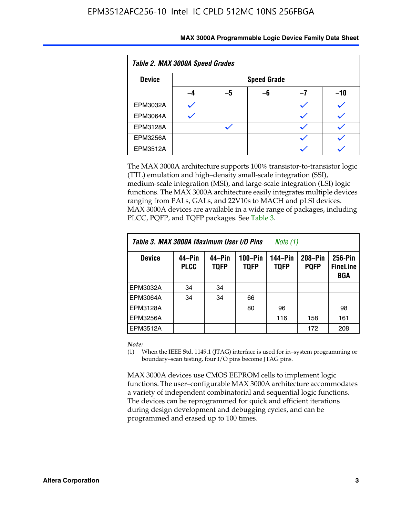| Table 2. MAX 3000A Speed Grades |    |                    |    |    |     |  |
|---------------------------------|----|--------------------|----|----|-----|--|
| <b>Device</b>                   |    | <b>Speed Grade</b> |    |    |     |  |
|                                 | -4 | -5                 | -6 | -7 | -10 |  |
| EPM3032A                        |    |                    |    |    |     |  |
| <b>EPM3064A</b>                 |    |                    |    |    |     |  |
| <b>EPM3128A</b>                 |    |                    |    |    |     |  |
| <b>EPM3256A</b>                 |    |                    |    |    |     |  |
| <b>EPM3512A</b>                 |    |                    |    |    |     |  |

The MAX 3000A architecture supports 100% transistor-to-transistor logic (TTL) emulation and high–density small-scale integration (SSI), medium-scale integration (MSI), and large-scale integration (LSI) logic functions. The MAX 3000A architecture easily integrates multiple devices ranging from PALs, GALs, and 22V10s to MACH and pLSI devices. MAX 3000A devices are available in a wide range of packages, including PLCC, PQFP, and TQFP packages. See Table 3.

| Table 3. MAX 3000A Maximum User I/O Pins | Note (1)              |                       |                            |                        |                        |                                   |
|------------------------------------------|-----------------------|-----------------------|----------------------------|------------------------|------------------------|-----------------------------------|
| <b>Device</b>                            | 44–Pin<br><b>PLCC</b> | 44–Pin<br><b>TQFP</b> | $100 - Pin$<br><b>TQFP</b> | 144-Pin<br><b>TQFP</b> | 208-Pin<br><b>PQFP</b> | 256-Pin<br><b>FineLine</b><br>BGA |
| EPM3032A                                 | 34                    | 34                    |                            |                        |                        |                                   |
| <b>EPM3064A</b>                          | 34                    | 34                    | 66                         |                        |                        |                                   |
| EPM3128A                                 |                       |                       | 80                         | 96                     |                        | 98                                |
| <b>EPM3256A</b>                          |                       |                       |                            | 116                    | 158                    | 161                               |
| EPM3512A                                 |                       |                       |                            |                        | 172                    | 208                               |

#### *Note:*

(1) When the IEEE Std. 1149.1 (JTAG) interface is used for in–system programming or boundary–scan testing, four I/O pins become JTAG pins.

MAX 3000A devices use CMOS EEPROM cells to implement logic functions. The user–configurable MAX 3000A architecture accommodates a variety of independent combinatorial and sequential logic functions. The devices can be reprogrammed for quick and efficient iterations during design development and debugging cycles, and can be programmed and erased up to 100 times.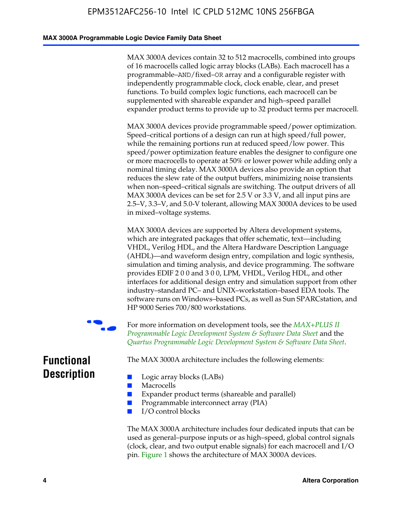#### **MAX 3000A Programmable Logic Device Family Data Sheet**

MAX 3000A devices contain 32 to 512 macrocells, combined into groups of 16 macrocells called logic array blocks (LABs). Each macrocell has a programmable–AND/fixed–OR array and a configurable register with independently programmable clock, clock enable, clear, and preset functions. To build complex logic functions, each macrocell can be supplemented with shareable expander and high–speed parallel expander product terms to provide up to 32 product terms per macrocell.

MAX 3000A devices provide programmable speed/power optimization. Speed–critical portions of a design can run at high speed/full power, while the remaining portions run at reduced speed/low power. This speed/power optimization feature enables the designer to configure one or more macrocells to operate at 50% or lower power while adding only a nominal timing delay. MAX 3000A devices also provide an option that reduces the slew rate of the output buffers, minimizing noise transients when non–speed–critical signals are switching. The output drivers of all MAX 3000A devices can be set for 2.5 V or 3.3 V, and all input pins are 2.5–V, 3.3–V, and 5.0-V tolerant, allowing MAX 3000A devices to be used in mixed–voltage systems.

MAX 3000A devices are supported by Altera development systems, which are integrated packages that offer schematic, text—including VHDL, Verilog HDL, and the Altera Hardware Description Language (AHDL)—and waveform design entry, compilation and logic synthesis, simulation and timing analysis, and device program[ming. The software](http://www.altera.com/literature/ds/dsmii.pdf)  [provides EDIF 2 0 0 and 3 0 0, LPM, VHDL, Verilog HDL, an](http://www.altera.com/literature/ds/dsmii.pdf)d other [interfaces for additional design entry and simulation support from ot](http://www.altera.com/literature/ds/quartus.pdf)her industry–standard PC– and UNIX–workstation–based EDA tools. The software runs on Windows–based PCs, as well as Sun SPARCstation, and HP 9000 Series 700/800 workstations.

For more information on development tools, see the *MAX+PLUS II Programmable Logic Development System & Software Data Sheet* and the *Quartus Programmable Logic Development System & Software Data Sheet*.

**Functional Description**

The MAX 3000A architecture includes the following elements:

- Macrocells
- Expander product terms (shareable and parallel)
- Programmable interconnect array (PIA)
- I/O control blocks

■ Logic array blocks (LABs)

The MAX 3000A architecture includes four dedicated inputs that can be used as general–purpose inputs or as high–speed, global control signals (clock, clear, and two output enable signals) for each macrocell and I/O pin. Figure 1 shows the architecture of MAX 3000A devices.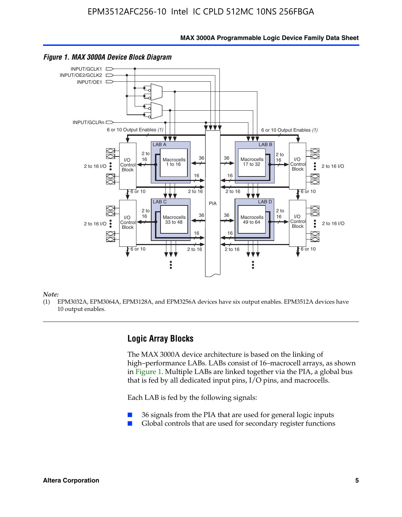**MAX 3000A Programmable Logic Device Family Data Sheet**



#### *Figure 1. MAX 3000A Device Block Diagram*

*Note:*

(1) EPM3032A, EPM3064A, EPM3128A, and EPM3256A devices have six output enables. EPM3512A devices have 10 output enables.

### **Logic Array Blocks**

The MAX 3000A device architecture is based on the linking of high–performance LABs. LABs consist of 16–macrocell arrays, as shown in Figure 1. Multiple LABs are linked together via the PIA, a global bus that is fed by all dedicated input pins, I/O pins, and macrocells.

Each LAB is fed by the following signals:

- 36 signals from the PIA that are used for general logic inputs
- Global controls that are used for secondary register functions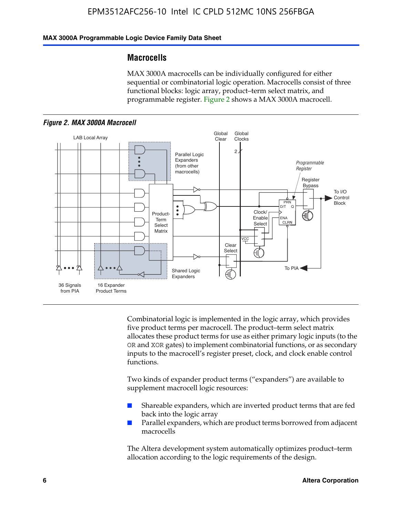### **MAX 3000A Programmable Logic Device Family Data Sheet**

### **Macrocells**

MAX 3000A macrocells can be individually configured for either sequential or combinatorial logic operation. Macrocells consist of three functional blocks: logic array, product–term select matrix, and programmable register. Figure 2 shows a MAX 3000A macrocell.





Combinatorial logic is implemented in the logic array, which provides five product terms per macrocell. The product–term select matrix allocates these product terms for use as either primary logic inputs (to the OR and XOR gates) to implement combinatorial functions, or as secondary inputs to the macrocell's register preset, clock, and clock enable control functions.

Two kinds of expander product terms ("expanders") are available to supplement macrocell logic resources:

- Shareable expanders, which are inverted product terms that are fed back into the logic array
- Parallel expanders, which are product terms borrowed from adjacent macrocells

The Altera development system automatically optimizes product–term allocation according to the logic requirements of the design.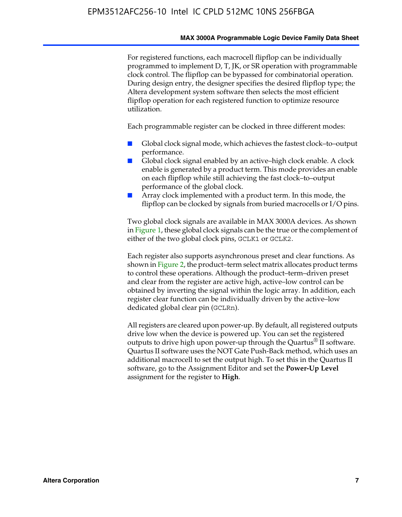#### **MAX 3000A Programmable Logic Device Family Data Sheet**

For registered functions, each macrocell flipflop can be individually programmed to implement D, T, JK, or SR operation with programmable clock control. The flipflop can be bypassed for combinatorial operation. During design entry, the designer specifies the desired flipflop type; the Altera development system software then selects the most efficient flipflop operation for each registered function to optimize resource utilization.

Each programmable register can be clocked in three different modes:

- Global clock signal mode, which achieves the fastest clock–to–output performance.
- Global clock signal enabled by an active–high clock enable. A clock enable is generated by a product term. This mode provides an enable on each flipflop while still achieving the fast clock–to–output performance of the global clock.
- Array clock implemented with a product term. In this mode, the flipflop can be clocked by signals from buried macrocells or I/O pins.

Two global clock signals are available in MAX 3000A devices. As shown in Figure 1, these global clock signals can be the true or the complement of either of the two global clock pins, GCLK1 or GCLK2.

Each register also supports asynchronous preset and clear functions. As shown in Figure 2, the product–term select matrix allocates product terms to control these operations. Although the product–term–driven preset and clear from the register are active high, active–low control can be obtained by inverting the signal within the logic array. In addition, each register clear function can be individually driven by the active–low dedicated global clear pin (GCLRn).

All registers are cleared upon power-up. By default, all registered outputs drive low when the device is powered up. You can set the registered outputs to drive high upon power-up through the Quartus<sup>®</sup> II software. Quartus II software uses the NOT Gate Push-Back method, which uses an additional macrocell to set the output high. To set this in the Quartus II software, go to the Assignment Editor and set the **Power-Up Level** assignment for the register to **High**.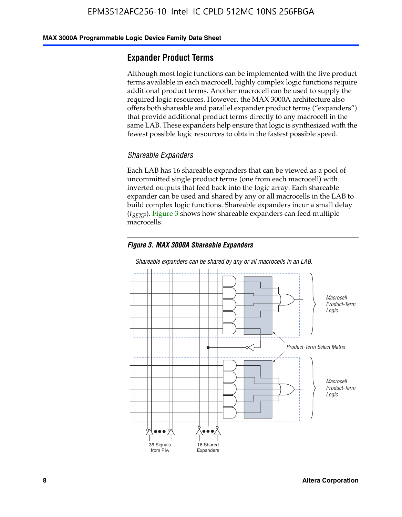#### **MAX 3000A Programmable Logic Device Family Data Sheet**

### **Expander Product Terms**

Although most logic functions can be implemented with the five product terms available in each macrocell, highly complex logic functions require additional product terms. Another macrocell can be used to supply the required logic resources. However, the MAX 3000A architecture also offers both shareable and parallel expander product terms ("expanders") that provide additional product terms directly to any macrocell in the same LAB. These expanders help ensure that logic is synthesized with the fewest possible logic resources to obtain the fastest possible speed.

#### *Shareable Expanders*

Each LAB has 16 shareable expanders that can be viewed as a pool of uncommitted single product terms (one from each macrocell) with inverted outputs that feed back into the logic array. Each shareable expander can be used and shared by any or all macrocells in the LAB to build complex logic functions. Shareable expanders incur a small delay (*t<sub>SEXP</sub>*). Figure 3 shows how shareable expanders can feed multiple macrocells.

#### *Figure 3. MAX 3000A Shareable Expanders*



#### *Shareable expanders can be shared by any or all macrocells in an LAB.*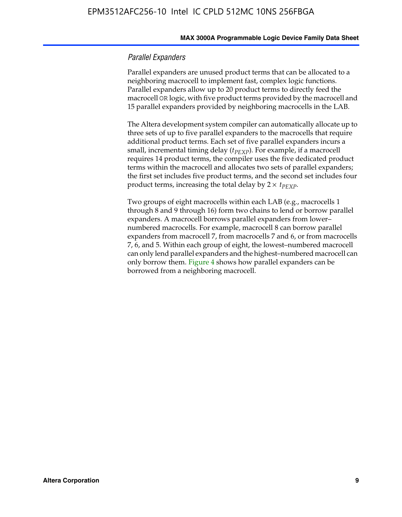#### **MAX 3000A Programmable Logic Device Family Data Sheet**

#### *Parallel Expanders*

Parallel expanders are unused product terms that can be allocated to a neighboring macrocell to implement fast, complex logic functions. Parallel expanders allow up to 20 product terms to directly feed the macrocell OR logic, with five product terms provided by the macrocell and 15 parallel expanders provided by neighboring macrocells in the LAB.

The Altera development system compiler can automatically allocate up to three sets of up to five parallel expanders to the macrocells that require additional product terms. Each set of five parallel expanders incurs a small, incremental timing delay (*t*<sub>PEXP</sub>). For example, if a macrocell requires 14 product terms, the compiler uses the five dedicated product terms within the macrocell and allocates two sets of parallel expanders; the first set includes five product terms, and the second set includes four product terms, increasing the total delay by  $2 \times t_{PEXP}$ .

Two groups of eight macrocells within each LAB (e.g., macrocells 1 through 8 and 9 through 16) form two chains to lend or borrow parallel expanders. A macrocell borrows parallel expanders from lower– numbered macrocells. For example, macrocell 8 can borrow parallel expanders from macrocell 7, from macrocells 7 and 6, or from macrocells 7, 6, and 5. Within each group of eight, the lowest–numbered macrocell can only lend parallel expanders and the highest–numbered macrocell can only borrow them. Figure 4 shows how parallel expanders can be borrowed from a neighboring macrocell.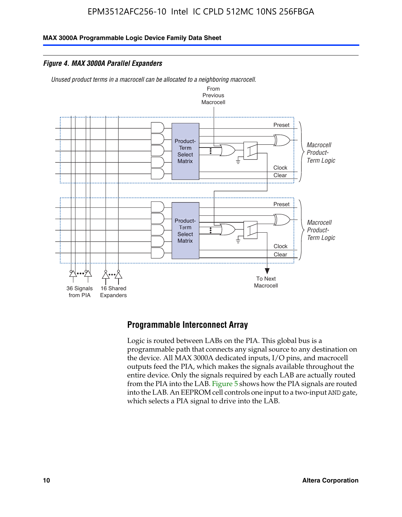**MAX 3000A Programmable Logic Device Family Data Sheet**

*Figure 4. MAX 3000A Parallel Expanders*

*Unused product terms in a macrocell can be allocated to a neighboring macrocell.*



### **Programmable Interconnect Array**

Logic is routed between LABs on the PIA. This global bus is a programmable path that connects any signal source to any destination on the device. All MAX 3000A dedicated inputs, I/O pins, and macrocell outputs feed the PIA, which makes the signals available throughout the entire device. Only the signals required by each LAB are actually routed from the PIA into the LAB. Figure 5 shows how the PIA signals are routed into the LAB. An EEPROM cell controls one input to a two-input AND gate, which selects a PIA signal to drive into the LAB.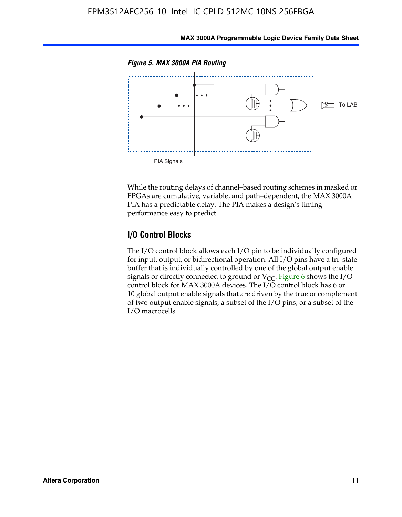

**MAX 3000A Programmable Logic Device Family Data Sheet**

While the routing delays of channel–based routing schemes in masked or FPGAs are cumulative, variable, and path–dependent, the MAX 3000A PIA has a predictable delay. The PIA makes a design's timing performance easy to predict.

### **I/O Control Blocks**

The I/O control block allows each I/O pin to be individually configured for input, output, or bidirectional operation. All I/O pins have a tri–state buffer that is individually controlled by one of the global output enable signals or directly connected to ground or  $V_{CC}$ . Figure 6 shows the I/O control block for MAX 3000A devices. The I/O control block has 6 or 10 global output enable signals that are driven by the true or complement of two output enable signals, a subset of the I/O pins, or a subset of the I/O macrocells.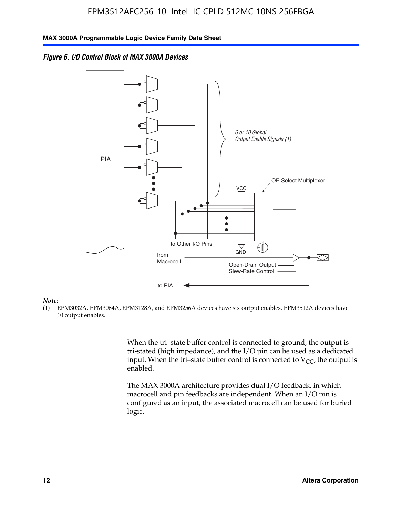



#### *Note:*

(1) EPM3032A, EPM3064A, EPM3128A, and EPM3256A devices have six output enables. EPM3512A devices have 10 output enables.

> When the tri–state buffer control is connected to ground, the output is tri-stated (high impedance), and the I/O pin can be used as a dedicated input. When the tri–state buffer control is connected to  $V_{CC}$ , the output is enabled.

The MAX 3000A architecture provides dual I/O feedback, in which macrocell and pin feedbacks are independent. When an I/O pin is configured as an input, the associated macrocell can be used for buried logic.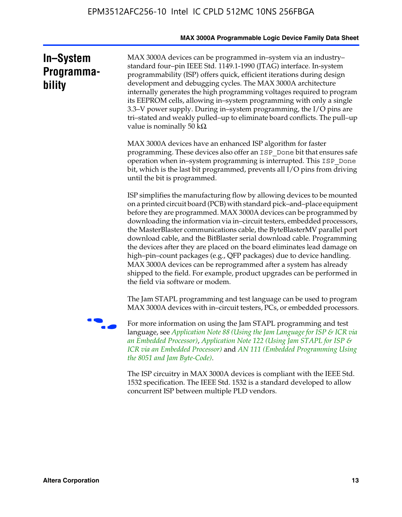|                                   | MAX 3000A Programmable Logic Device Family Data Sheet                                                                                                                                                                                                                                                                                                                                                                                                                                                                                                                                                                                                                                                                                                                                           |
|-----------------------------------|-------------------------------------------------------------------------------------------------------------------------------------------------------------------------------------------------------------------------------------------------------------------------------------------------------------------------------------------------------------------------------------------------------------------------------------------------------------------------------------------------------------------------------------------------------------------------------------------------------------------------------------------------------------------------------------------------------------------------------------------------------------------------------------------------|
| In-System<br>Programma-<br>bility | MAX 3000A devices can be programmed in-system via an industry-<br>standard four-pin IEEE Std. 1149.1-1990 (JTAG) interface. In-system<br>programmability (ISP) offers quick, efficient iterations during design<br>development and debugging cycles. The MAX 3000A architecture<br>internally generates the high programming voltages required to program<br>its EEPROM cells, allowing in-system programming with only a single<br>3.3–V power supply. During in–system programming, the I/O pins are<br>tri-stated and weakly pulled-up to eliminate board conflicts. The pull-up<br>value is nominally 50 $k\Omega$                                                                                                                                                                          |
|                                   | MAX 3000A devices have an enhanced ISP algorithm for faster<br>programming. These devices also offer an ISP_Done bit that ensures safe<br>operation when in-system programming is interrupted. This ISP_Done<br>bit, which is the last bit programmed, prevents all I/O pins from driving<br>until the bit is programmed.                                                                                                                                                                                                                                                                                                                                                                                                                                                                       |
|                                   | ISP simplifies the manufacturing flow by allowing devices to be mounted<br>on a printed circuit board (PCB) with standard pick–and–place equipment<br>before they are programmed. MAX 3000A devices can be programmed by<br>downloading the information via in-circuit testers, embedded processors,<br>the MasterBlaster communications cable, the ByteBlasterMV parallel port<br>download cable, and the BitBlaster serial download cable. Programming<br>the devices after they are placed on the board eliminates lead damage on<br>high-pin-count packages (e.g., QFP packages) due to device handling.<br>MAX 3000A devices can be reprogrammed after a system has already<br>shipped to the field. For example, product upgrades can be performed in<br>the field via software or modem. |
|                                   | The Jam STAPL programming and test language can be used to program<br>MAX 3000A devices with in–circuit testers, PCs, or embedded processors.                                                                                                                                                                                                                                                                                                                                                                                                                                                                                                                                                                                                                                                   |
|                                   | For more information on using the Jam STAPL programming and test<br>language, see Application Note 88 (Using the Jam Language for ISP & ICR via<br>an Embedded Processor), Application Note 122 (Using Jam STAPL for ISP &<br>ICR via an Embedded Processor) and AN 111 (Embedded Programming Using<br>the 8051 and Jam Byte-Code).                                                                                                                                                                                                                                                                                                                                                                                                                                                             |
|                                   | The ISP circuitry in MAX 3000A devices is compliant with the IEEE Std.<br>1532 specification. The IEEE Std. 1532 is a standard developed to allow<br>concurrent ISP between multiple PLD vendors.                                                                                                                                                                                                                                                                                                                                                                                                                                                                                                                                                                                               |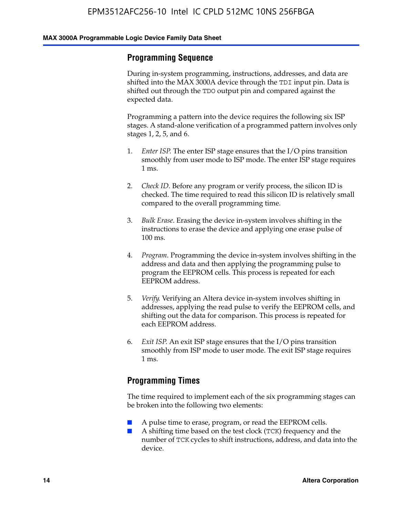### **Programming Sequence**

During in-system programming, instructions, addresses, and data are shifted into the MAX 3000A device through the TDI input pin. Data is shifted out through the TDO output pin and compared against the expected data.

Programming a pattern into the device requires the following six ISP stages. A stand-alone verification of a programmed pattern involves only stages 1, 2, 5, and 6.

- 1. *Enter ISP*. The enter ISP stage ensures that the I/O pins transition smoothly from user mode to ISP mode. The enter ISP stage requires 1 ms.
- 2. *Check ID*. Before any program or verify process, the silicon ID is checked. The time required to read this silicon ID is relatively small compared to the overall programming time.
- 3. *Bulk Erase*. Erasing the device in-system involves shifting in the instructions to erase the device and applying one erase pulse of 100 ms.
- 4. *Program*. Programming the device in-system involves shifting in the address and data and then applying the programming pulse to program the EEPROM cells. This process is repeated for each EEPROM address.
- 5. *Verify*. Verifying an Altera device in-system involves shifting in addresses, applying the read pulse to verify the EEPROM cells, and shifting out the data for comparison. This process is repeated for each EEPROM address.
- 6. *Exit ISP*. An exit ISP stage ensures that the I/O pins transition smoothly from ISP mode to user mode. The exit ISP stage requires 1 ms.

### **Programming Times**

The time required to implement each of the six programming stages can be broken into the following two elements:

- A pulse time to erase, program, or read the EEPROM cells.
- A shifting time based on the test clock (TCK) frequency and the number of TCK cycles to shift instructions, address, and data into the device.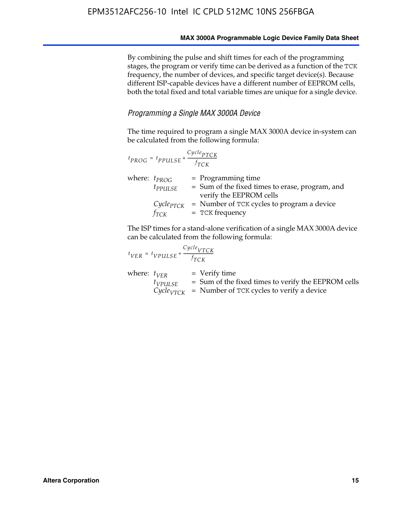By combining the pulse and shift times for each of the programming stages, the program or verify time can be derived as a function of the TCK frequency, the number of devices, and specific target device(s). Because different ISP-capable devices have a different number of EEPROM cells, both the total fixed and total variable times are unique for a single device.

### *Programming a Single MAX 3000A Device*

The time required to program a single MAX 3000A device in-system can be calculated from the following formula:

|                   | $t_{PROG} = t_{PPULSE} + \frac{Cycle_{PTCK}}{f_{TCK}}$ |                                                                                                    |
|-------------------|--------------------------------------------------------|----------------------------------------------------------------------------------------------------|
| where: $t_{PROG}$ | $t_{PPULSE}$                                           | $=$ Programming time<br>= Sum of the fixed times to erase, program, and<br>verify the EEPROM cells |
|                   | $Cycle_{PTCK}$<br>fтск                                 | = Number of TCK cycles to program a device<br>$=$ TCK frequency                                    |

The ISP times for a stand-alone verification of a single MAX 3000A device can be calculated from the following formula:

| $t_{VER} = t_{VPULSE} + \frac{t_{TCK}}{f_{TCK}}$ | $Cycle_{VTCK}$                                                                                                                |
|--------------------------------------------------|-------------------------------------------------------------------------------------------------------------------------------|
| where: $t_{VFR}$<br>$t_{VPULSE}$                 | = Verify time<br>= Sum of the fixed times to verify the EEPROM cells<br>$CycleVTCK$ = Number of TCK cycles to verify a device |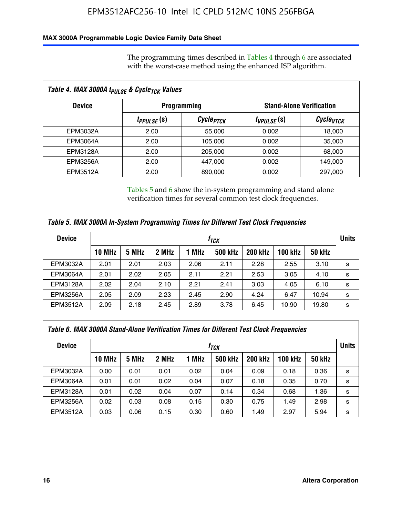### **MAX 3000A Programmable Logic Device Family Data Sheet**

The programming times described in Tables 4 through 6 are associated with the worst-case method using the enhanced ISP algorithm.

| Table 4. MAX 3000A t <sub>PULSE</sub> & Cycle <sub>TCK</sub> Values |                               |                       |                 |                                 |  |  |
|---------------------------------------------------------------------|-------------------------------|-----------------------|-----------------|---------------------------------|--|--|
| <b>Device</b>                                                       |                               | <b>Programming</b>    |                 | <b>Stand-Alone Verification</b> |  |  |
|                                                                     | <i>t<sub>PPULSE</sub></i> (s) | Cycle <sub>PTCK</sub> | $t_{VPULSE}(s)$ | Cycle <sub>vTCK</sub>           |  |  |
| EPM3032A                                                            | 2.00                          | 55,000                | 0.002           | 18,000                          |  |  |
| EPM3064A                                                            | 2.00                          | 105,000               | 0.002           | 35,000                          |  |  |
| EPM3128A                                                            | 2.00                          | 205,000               | 0.002           | 68,000                          |  |  |
| EPM3256A                                                            | 2.00                          | 447.000               | 0.002           | 149,000                         |  |  |
| EPM3512A                                                            | 2.00                          | 890,000               | 0.002           | 297,000                         |  |  |

Tables 5 and 6 show the in-system programming and stand alone verification times for several common test clock frequencies.

| Table 5. MAX 3000A In-System Programming Times for Different Test Clock Frequencies |                    |       |       |       |                |                |              |               |   |
|-------------------------------------------------------------------------------------|--------------------|-------|-------|-------|----------------|----------------|--------------|---------------|---|
| <b>Device</b>                                                                       | $t_{\textit{TCK}}$ |       |       |       |                |                | <b>Units</b> |               |   |
|                                                                                     | <b>10 MHz</b>      | 5 MHz | 2 MHz | 1 MHz | <b>500 kHz</b> | <b>200 kHz</b> | 100 kHz      | <b>50 kHz</b> |   |
| EPM3032A                                                                            | 2.01               | 2.01  | 2.03  | 2.06  | 2.11           | 2.28           | 2.55         | 3.10          | s |
| <b>EPM3064A</b>                                                                     | 2.01               | 2.02  | 2.05  | 2.11  | 2.21           | 2.53           | 3.05         | 4.10          | s |
| <b>EPM3128A</b>                                                                     | 2.02               | 2.04  | 2.10  | 2.21  | 2.41           | 3.03           | 4.05         | 6.10          | s |
| EPM3256A                                                                            | 2.05               | 2.09  | 2.23  | 2.45  | 2.90           | 4.24           | 6.47         | 10.94         | s |
| EPM3512A                                                                            | 2.09               | 2.18  | 2.45  | 2.89  | 3.78           | 6.45           | 10.90        | 19.80         | s |

| Table 6. MAX 3000A Stand-Alone Verification Times for Different Test Clock Frequencies |               |       |       |       |                |                |                |               |              |
|----------------------------------------------------------------------------------------|---------------|-------|-------|-------|----------------|----------------|----------------|---------------|--------------|
| <b>Device</b>                                                                          |               |       |       |       | $f_{TCK}$      |                |                |               | <b>Units</b> |
|                                                                                        | <b>10 MHz</b> | 5 MHz | 2 MHz | 1 MHz | <b>500 kHz</b> | <b>200 kHz</b> | <b>100 kHz</b> | <b>50 kHz</b> |              |
| EPM3032A                                                                               | 0.00          | 0.01  | 0.01  | 0.02  | 0.04           | 0.09           | 0.18           | 0.36          | s            |
| <b>EPM3064A</b>                                                                        | 0.01          | 0.01  | 0.02  | 0.04  | 0.07           | 0.18           | 0.35           | 0.70          | s            |
| EPM3128A                                                                               | 0.01          | 0.02  | 0.04  | 0.07  | 0.14           | 0.34           | 0.68           | 1.36          | s            |
| <b>EPM3256A</b>                                                                        | 0.02          | 0.03  | 0.08  | 0.15  | 0.30           | 0.75           | 1.49           | 2.98          | s            |
| EPM3512A                                                                               | 0.03          | 0.06  | 0.15  | 0.30  | 0.60           | 1.49           | 2.97           | 5.94          | s            |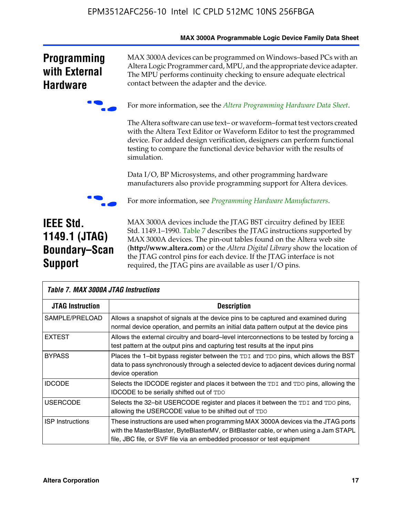|                                                                             | <b>MAX SUUDA FIUGIAIIIIIADIE LUGIC DEVICE FAIIIIIV DATA SITEET</b>                                                                                                                                                                                                                                                                                                                                                               |
|-----------------------------------------------------------------------------|----------------------------------------------------------------------------------------------------------------------------------------------------------------------------------------------------------------------------------------------------------------------------------------------------------------------------------------------------------------------------------------------------------------------------------|
| <b>Programming</b><br>with External<br><b>Hardware</b>                      | MAX 3000A devices can be programmed on Windows-based PCs with an<br>Altera Logic Programmer card, MPU, and the appropriate device adapter.<br>The MPU performs continuity checking to ensure adequate electrical<br>contact between the adapter and the device.                                                                                                                                                                  |
|                                                                             | For more information, see the Altera Programming Hardware Data Sheet.                                                                                                                                                                                                                                                                                                                                                            |
|                                                                             | The Altera software can use text- or waveform-format test vectors created<br>with the Altera Text Editor or Waveform Editor to test the programmed<br>device. For added design verification, designers can perform functional<br>testing to compare the functional device behavior with the results of<br>simulation.                                                                                                            |
|                                                                             | Data I/O, BP Microsystems, and other programming hardware<br>manufacturers also provide programming support for Altera devices.                                                                                                                                                                                                                                                                                                  |
|                                                                             | For more information, see Programming Hardware Manufacturers.                                                                                                                                                                                                                                                                                                                                                                    |
| <b>IEEE Std.</b><br>1149.1 (JTAG)<br><b>Boundary-Scan</b><br><b>Support</b> | MAX 3000A devices include the JTAG BST circuitry defined by IEEE<br>Std. 1149.1-1990. Table 7 describes the JTAG instructions supported by<br>MAX 3000A devices. The pin-out tables found on the Altera web site<br>(http://www.altera.com) or the Altera Digital Library show the location of<br>the JTAG control pins for each device. If the JTAG interface is not<br>required, the JTAG pins are available as user I/O pins. |

| <b>Table 7. MAX 3000A JTAG Instructions</b> |                                                                                                                                                                                                                                                       |  |  |  |  |  |  |
|---------------------------------------------|-------------------------------------------------------------------------------------------------------------------------------------------------------------------------------------------------------------------------------------------------------|--|--|--|--|--|--|
| <b>JTAG Instruction</b>                     | <b>Description</b>                                                                                                                                                                                                                                    |  |  |  |  |  |  |
| SAMPLE/PRELOAD                              | Allows a snapshot of signals at the device pins to be captured and examined during<br>normal device operation, and permits an initial data pattern output at the device pins                                                                          |  |  |  |  |  |  |
| <b>EXTEST</b>                               | Allows the external circuitry and board–level interconnections to be tested by forcing a<br>test pattern at the output pins and capturing test results at the input pins                                                                              |  |  |  |  |  |  |
| <b>BYPASS</b>                               | Places the 1-bit bypass register between the TDI and TDO pins, which allows the BST<br>data to pass synchronously through a selected device to adjacent devices during normal<br>device operation                                                     |  |  |  |  |  |  |
| <b>IDCODE</b>                               | Selects the IDCODE register and places it between the TDI and TDO pins, allowing the<br><b>IDCODE</b> to be serially shifted out of TDO                                                                                                               |  |  |  |  |  |  |
| <b>USERCODE</b>                             | Selects the 32-bit USERCODE register and places it between the TDI and TDO pins,<br>allowing the USERCODE value to be shifted out of TDO                                                                                                              |  |  |  |  |  |  |
| <b>ISP</b> Instructions                     | These instructions are used when programming MAX 3000A devices via the JTAG ports<br>with the MasterBlaster, ByteBlasterMV, or BitBlaster cable, or when using a Jam STAPL<br>file, JBC file, or SVF file via an embedded processor or test equipment |  |  |  |  |  |  |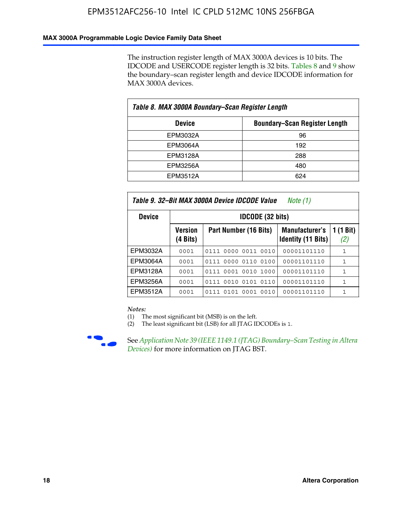### **MAX 3000A Programmable Logic Device Family Data Sheet**

The instruction register length of MAX 3000A devices is 10 bits. The IDCODE and USERCODE register length is 32 bits. Tables 8 and 9 show the boundary–scan register length and device IDCODE information for MAX 3000A devices.

| Table 8. MAX 3000A Boundary–Scan Register Length |                                      |  |  |  |  |  |
|--------------------------------------------------|--------------------------------------|--|--|--|--|--|
| <b>Device</b>                                    | <b>Boundary-Scan Register Length</b> |  |  |  |  |  |
| EPM3032A                                         | 96                                   |  |  |  |  |  |
| EPM3064A                                         | 192                                  |  |  |  |  |  |
| EPM3128A                                         | 288                                  |  |  |  |  |  |
| <b>EPM3256A</b>                                  | 480                                  |  |  |  |  |  |
| EPM3512A                                         | 624                                  |  |  |  |  |  |

| Table 9. 32–Bit MAX 3000A Device IDCODE Value<br>Note (1) |                                      |                                                                                                 |             |              |  |  |  |  |  |  |
|-----------------------------------------------------------|--------------------------------------|-------------------------------------------------------------------------------------------------|-------------|--------------|--|--|--|--|--|--|
| <b>Device</b>                                             |                                      | <b>IDCODE (32 bits)</b>                                                                         |             |              |  |  |  |  |  |  |
|                                                           | <b>Version</b><br>$(4 \text{ bits})$ | 1 (1 Bit)<br><b>Manufacturer's</b><br>Part Number (16 Bits)<br><b>Identity (11 Bits)</b><br>(2) |             |              |  |  |  |  |  |  |
| EPM3032A                                                  | 0001                                 | 0111 0000 0011 0010                                                                             | 00001101110 | $\mathbf{1}$ |  |  |  |  |  |  |
| EPM3064A                                                  | 0001                                 | 0111 0000 0110 0100                                                                             | 00001101110 | 1            |  |  |  |  |  |  |
| EPM3128A                                                  | 0001                                 | 0001 0010<br>1000<br>0111                                                                       | 00001101110 | 1            |  |  |  |  |  |  |
| EPM3256A                                                  | 0001                                 | 0111 0010 0101 0110                                                                             | 00001101110 | 1            |  |  |  |  |  |  |
| <b>EPM3512A</b>                                           | 0001                                 | 0111 0101 0001<br>0010                                                                          | 00001101110 | 1            |  |  |  |  |  |  |

#### *Notes:*

(1) The most significant bit (MSB) is on the left.

(2) The least significant bit (LSB) for all JTAG IDCODEs is 1.



**F See Application Note 39 (IEEE 1149.1 (JTAG) Boundary–Scan Testing in Altera** *Devices)* for more information on JTAG BST.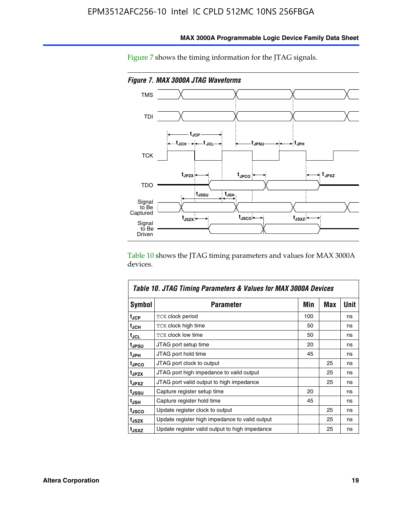

**MAX 3000A Programmable Logic Device Family Data Sheet**

Figure 7 shows the timing information for the JTAG signals.

Table 10 shows the JTAG timing parameters and values for MAX 3000A devices.

|                   | Table 10. JTAG Timing Parameters & Values for MAX 3000A Devices |     |     |             |
|-------------------|-----------------------------------------------------------------|-----|-----|-------------|
| Symbol            | <b>Parameter</b>                                                | Min | Max | <b>Unit</b> |
| tjcp              | TCK clock period                                                | 100 |     | ns          |
| t <sub>JCH</sub>  | <b>TCK clock high time</b>                                      | 50  |     | ns          |
| t <sub>JCL</sub>  | <b>TCK clock low time</b>                                       | 50  |     | ns          |
| t <sub>JPSU</sub> | JTAG port setup time                                            | 20  |     | ns          |
| t <sub>JPH</sub>  | JTAG port hold time                                             | 45  |     | ns          |
| tjpco             | JTAG port clock to output                                       |     | 25  | ns          |
| t <sub>JPZX</sub> | JTAG port high impedance to valid output                        |     | 25  | ns          |
| t <sub>JPXZ</sub> | JTAG port valid output to high impedance                        |     | 25  | ns          |
| tussu             | Capture register setup time                                     | 20  |     | ns          |
| t <sub>JSH</sub>  | Capture register hold time                                      | 45  |     | ns          |
| tjsco             | Update register clock to output                                 |     | 25  | ns          |
| tjszx             | Update register high impedance to valid output                  |     | 25  | ns          |
| t <sub>JSXZ</sub> | Update register valid output to high impedance                  |     | 25  | ns          |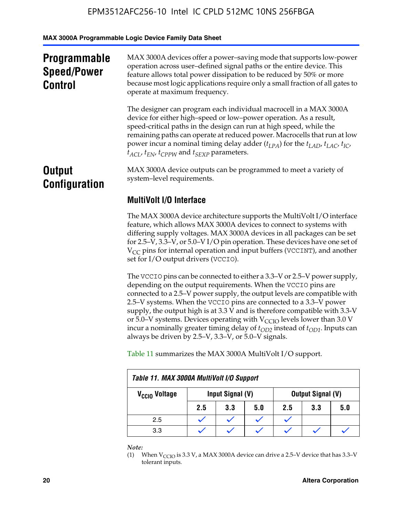**MAX 3000A Programmable Logic Device Family Data Sheet**

| <b>Programmable</b><br><b>Speed/Power</b><br><b>Control</b> | MAX 3000A devices offer a power-saving mode that supports low-power<br>operation across user-defined signal paths or the entire device. This<br>feature allows total power dissipation to be reduced by 50% or more<br>because most logic applications require only a small fraction of all gates to<br>operate at maximum frequency.                                                                                                                        |  |  |  |
|-------------------------------------------------------------|--------------------------------------------------------------------------------------------------------------------------------------------------------------------------------------------------------------------------------------------------------------------------------------------------------------------------------------------------------------------------------------------------------------------------------------------------------------|--|--|--|
|                                                             | The designer can program each individual macrocell in a MAX 3000A<br>device for either high-speed or low-power operation. As a result,<br>speed-critical paths in the design can run at high speed, while the<br>remaining paths can operate at reduced power. Macrocells that run at low<br>power incur a nominal timing delay adder $(t_{LPA})$ for the $t_{LAD}$ , $t_{LAC}$ , $t_{IC}$ ,<br>$t_{ACL}$ , $t_{EN}$ , $t_{CPPW}$ and $t_{SEXP}$ parameters. |  |  |  |
| <b>Output</b><br><b>Configuration</b>                       | MAX 3000A device outputs can be programmed to meet a variety of<br>system-level requirements.                                                                                                                                                                                                                                                                                                                                                                |  |  |  |
|                                                             | <b>MultiVolt I/O Interface</b>                                                                                                                                                                                                                                                                                                                                                                                                                               |  |  |  |
|                                                             | The MAX 3000A device architecture supports the MultiVolt I/O interface<br>feature, which allows MAX 3000A devices to connect to systems with                                                                                                                                                                                                                                                                                                                 |  |  |  |

differing supply voltages. MAX 3000A devices in all packages can be set for 2.5–V, 3.3–V, or 5.0–V I/O pin operation. These devices have one set of  $V_{CC}$  pins for internal operation and input buffers (VCCINT), and another set for I/O output drivers (VCCIO).

The VCCIO pins can be connected to either a 3.3–V or 2.5–V power supply, depending on the output requirements. When the VCCIO pins are connected to a 2.5–V power supply, the output levels are compatible with 2.5–V systems. When the VCCIO pins are connected to a 3.3–V power supply, the output high is at 3.3  $\bar{V}$  and is therefore compatible with 3.3-V or 5.0–V systems. Devices operating with  $V_{CCIO}$  levels lower than 3.0 V incur a nominally greater timing delay of  $t_{OD2}$  instead of  $t_{OD1}$ . Inputs can always be driven by 2.5–V, 3.3–V, or 5.0–V signals.

Table 11 summarizes the MAX 3000A MultiVolt I/O support.

| Table 11. MAX 3000A MultiVolt I/O Support |                                       |     |     |     |     |     |  |  |
|-------------------------------------------|---------------------------------------|-----|-----|-----|-----|-----|--|--|
| V <sub>CCIO</sub> Voltage                 | Output Signal (V)<br>Input Signal (V) |     |     |     |     |     |  |  |
|                                           | 2.5                                   | 3.3 | 5.0 | 2.5 | 3.3 | 5.0 |  |  |
| 2.5                                       |                                       |     |     |     |     |     |  |  |
| 3.3                                       |                                       |     |     |     |     |     |  |  |

*Note:*

<sup>(1)</sup> When  $V_{\text{CCIO}}$  is 3.3 V, a MAX 3000A device can drive a 2.5–V device that has 3.3–V tolerant inputs.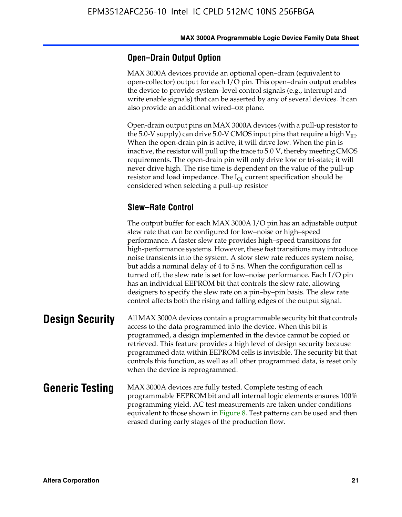### **Open–Drain Output Option**

MAX 3000A devices provide an optional open–drain (equivalent to open-collector) output for each I/O pin. This open–drain output enables the device to provide system–level control signals (e.g., interrupt and write enable signals) that can be asserted by any of several devices. It can also provide an additional wired–OR plane.

Open-drain output pins on MAX 3000A devices (with a pull-up resistor to the 5.0-V supply) can drive 5.0-V CMOS input pins that require a high  $V_{\text{H}_{\text{H}}}$ . When the open-drain pin is active, it will drive low. When the pin is inactive, the resistor will pull up the trace to 5.0 V, thereby meeting CMOS requirements. The open-drain pin will only drive low or tri-state; it will never drive high. The rise time is dependent on the value of the pull-up resistor and load impedance. The  $I_{OL}$  current specification should be considered when selecting a pull-up resistor

### **Slew–Rate Control**

The output buffer for each MAX 3000A I/O pin has an adjustable output slew rate that can be configured for low–noise or high–speed performance. A faster slew rate provides high–speed transitions for high-performance systems. However, these fast transitions may introduce noise transients into the system. A slow slew rate reduces system noise, but adds a nominal delay of 4 to 5 ns. When the configuration cell is turned off, the slew rate is set for low–noise performance. Each I/O pin has an individual EEPROM bit that controls the slew rate, allowing designers to specify the slew rate on a pin–by–pin basis. The slew rate control affects both the rising and falling edges of the output signal.

**Design Security** All MAX 3000A devices contain a programmable security bit that controls access to the data programmed into the device. When this bit is programmed, a design implemented in the device cannot be copied or retrieved. This feature provides a high level of design security because programmed data within EEPROM cells is invisible. The security bit that controls this function, as well as all other programmed data, is reset only when the device is reprogrammed.

### **Generic Testing** MAX 3000A devices are fully tested. Complete testing of each programmable EEPROM bit and all internal logic elements ensures 100% programming yield. AC test measurements are taken under conditions equivalent to those shown in Figure 8. Test patterns can be used and then erased during early stages of the production flow.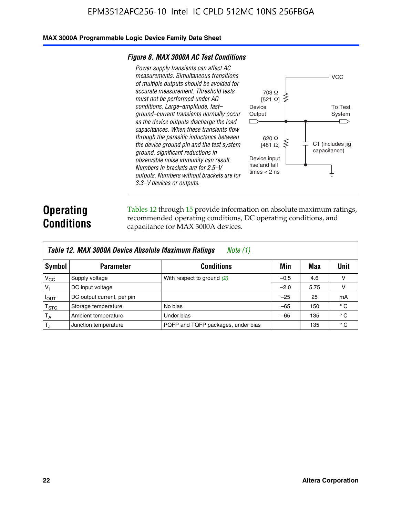### **MAX 3000A Programmable Logic Device Family Data Sheet**

#### *Figure 8. MAX 3000A AC Test Conditions*

*Power supply transients can affect AC measurements. Simultaneous transitions of multiple outputs should be avoided for accurate measurement. Threshold tests must not be performed under AC conditions. Large–amplitude, fast– ground–current transients normally occur as the device outputs discharge the load capacitances. When these transients flow through the parasitic inductance between the device ground pin and the test system ground, significant reductions in observable noise immunity can result. Numbers in brackets are for 2.5–V outputs. Numbers without brackets are for 3.3–V devices or outputs.*



### **Operating Conditions**

Tables 12 through 15 provide information on absolute maximum ratings, recommended operating conditions, DC operating conditions, and capacitance for MAX 3000A devices.

|                | Table 12. MAX 3000A Device Absolute Maximum Ratings<br>Note (1) |                                    |        |      |              |  |  |
|----------------|-----------------------------------------------------------------|------------------------------------|--------|------|--------------|--|--|
| Symbol         | <b>Parameter</b>                                                | <b>Conditions</b>                  | Min    | Max  | Unit         |  |  |
| $V_{CC}$       | Supply voltage                                                  | With respect to ground (2)         | $-0.5$ | 4.6  | v            |  |  |
| V <sub>1</sub> | DC input voltage                                                |                                    | $-2.0$ | 5.75 | v            |  |  |
| $I_{OUT}$      | DC output current, per pin                                      |                                    | $-25$  | 25   | mA           |  |  |
| $T_{\rm STG}$  | Storage temperature                                             | No bias                            | $-65$  | 150  | $^{\circ}$ C |  |  |
| $T_A$          | Ambient temperature                                             | Under bias                         | $-65$  | 135  | $^{\circ}$ C |  |  |
| $T_{\rm J}$    | Junction temperature                                            | PQFP and TQFP packages, under bias |        | 135  | $^{\circ}$ C |  |  |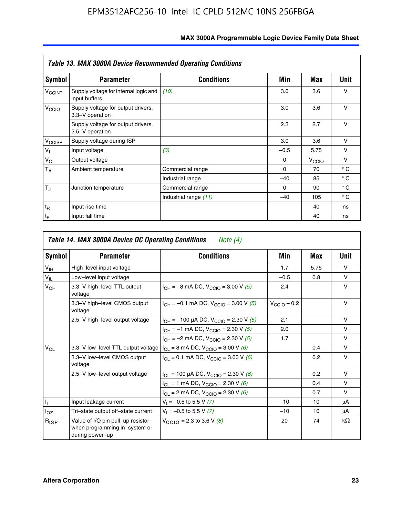|                             | <b>Table 13. MAX 3000A Device Recommended Operating Conditions</b> |                       |          |                   |              |  |  |  |
|-----------------------------|--------------------------------------------------------------------|-----------------------|----------|-------------------|--------------|--|--|--|
| Symbol                      | <b>Parameter</b>                                                   | <b>Conditions</b>     | Min      | Max               | Unit         |  |  |  |
| $V_{\rm CCINT}$             | Supply voltage for internal logic and<br>input buffers             | (10)                  | 3.0      | 3.6               | ν            |  |  |  |
| V <sub>CCIO</sub>           | Supply voltage for output drivers,<br>3.3-V operation              |                       | 3.0      | 3.6               | $\vee$       |  |  |  |
|                             | Supply voltage for output drivers,<br>2.5-V operation              |                       | 2.3      | 2.7               | v            |  |  |  |
| V <sub>CCISP</sub>          | Supply voltage during ISP                                          |                       | 3.0      | 3.6               | $\vee$       |  |  |  |
| $V_{\parallel}$             | Input voltage                                                      | (3)                   | $-0.5$   | 5.75              | v            |  |  |  |
| $V_{\rm O}$                 | Output voltage                                                     |                       | $\Omega$ | $V_{\text{CCIO}}$ | v            |  |  |  |
| $T_A$                       | Ambient temperature                                                | Commercial range      | $\Omega$ | 70                | $^{\circ}$ C |  |  |  |
|                             |                                                                    | Industrial range      | $-40$    | 85                | $^{\circ}$ C |  |  |  |
| $T_{\rm J}$                 | Junction temperature                                               | Commercial range      | $\Omega$ | 90                | $^{\circ}$ C |  |  |  |
|                             |                                                                    | Industrial range (11) | $-40$    | 105               | $^{\circ}$ C |  |  |  |
| $t_{\mathsf{R}}$            | Input rise time                                                    |                       |          | 40                | ns           |  |  |  |
| $\mathfrak{t}_{\mathsf{F}}$ | Input fall time                                                    |                       |          | 40                | ns           |  |  |  |

| Symbol          | <b>Parameter</b>                                                                         | <b>Conditions</b>                                                        | Min              | Max           | Unit      |
|-----------------|------------------------------------------------------------------------------------------|--------------------------------------------------------------------------|------------------|---------------|-----------|
| V <sub>IH</sub> | High-level input voltage                                                                 |                                                                          | 1.7              | 5.75          | $\vee$    |
| $V_{IL}$        | Low-level input voltage                                                                  |                                                                          | $-0.5$           | 0.8           | $\vee$    |
| $V_{OH}$        | 3.3-V high-level TTL output<br>voltage                                                   | $I_{OH} = -8$ mA DC, $V_{CGIO} = 3.00$ V (5)                             | 2.4              |               | $\vee$    |
|                 | 3.3-V high-level CMOS output<br>voltage                                                  | $I_{OH} = -0.1$ mA DC, $V_{CCIO} = 3.00$ V (5)                           | $V_{CClO}$ – 0.2 |               | $\vee$    |
|                 | 2.5-V high-level output voltage<br>$I_{OH}$ = -100 µA DC, V <sub>CCIO</sub> = 2.30 V (5) |                                                                          | 2.1              |               | $\vee$    |
|                 |                                                                                          | $I_{OH} = -1$ mA DC, $V_{CCIO} = 2.30$ V (5)                             | 2.0              |               | $\vee$    |
|                 |                                                                                          | $I_{OH} = -2$ mA DC, $V_{CGIO} = 2.30$ V (5)                             | 1.7              |               | $\vee$    |
| $V_{OL}$        | 3.3-V low-level TTL output voltage                                                       | $I_{OL}$ = 8 mA DC, $V_{CClO}$ = 3.00 V (6)                              |                  | 0.4           | $\vee$    |
|                 | 3.3-V low-level CMOS output<br>voltage                                                   | $I_{\text{OI}} = 0.1 \text{ mA DC}, V_{\text{CCl}} = 3.00 \text{ V}$ (6) |                  | 0.2           | $\vee$    |
|                 | 2.5-V low-level output voltage                                                           | $I_{OL}$ = 100 µA DC, V <sub>CCIO</sub> = 2.30 V (6)                     |                  | $0.2^{\circ}$ | $\vee$    |
|                 |                                                                                          | $I_{OL}$ = 1 mA DC, V <sub>CCIO</sub> = 2.30 V (6)                       |                  | 0.4           | $\vee$    |
|                 |                                                                                          | $I_{OL}$ = 2 mA DC, $V_{CCIO}$ = 2.30 V (6)                              |                  | 0.7           | $\vee$    |
| h.              | Input leakage current                                                                    | $V_1 = -0.5$ to 5.5 V (7)                                                | $-10$            | 10            | μA        |
| $I_{OZ}$        | Tri-state output off-state current                                                       | $V_1 = -0.5$ to 5.5 V (7)                                                | $-10$            | 10            | μA        |
| $R_{lSP}$       | Value of I/O pin pull-up resistor<br>when programming in-system or<br>during power-up    | $V_{CCD}$ = 2.3 to 3.6 V (8)                                             | 20               | 74            | $k\Omega$ |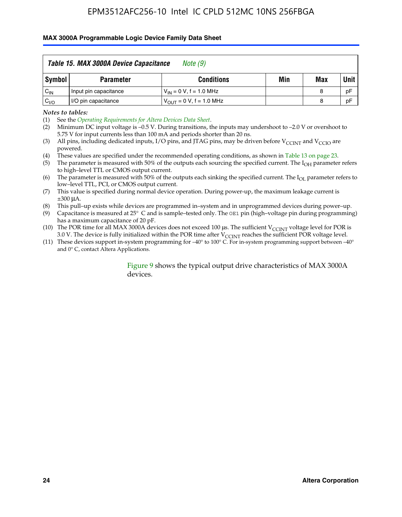#### **MAX 3000A Programmable Logic Device Family Data Sheet**

|          | Table 15. MAX 3000A Device Capacitance<br>Note (9) |                               |     |     |             |  |  |
|----------|----------------------------------------------------|-------------------------------|-----|-----|-------------|--|--|
| Symbol   | <b>Parameter</b>                                   | <b>Conditions</b>             | Min | Max | <b>Unit</b> |  |  |
| $C_{IN}$ | Input pin capacitance                              | $V_{IN} = 0 V$ , f = 1.0 MHz  |     | 8   | pF          |  |  |
| $C_{VO}$ | I/O pin capacitance                                | $V_{OUT} = 0 V$ , f = 1.0 MHz |     | 8   | pF          |  |  |

*Notes to tables:*

(2) Minimum DC input voltage is –0.5 V. During transitions, the inputs may undershoot to –2.0 V or overshoot to 5.75 V for input currents less than 100 mA and periods shorter than 20 ns.

(4) These values are specified under the recommended operating conditions, as shown in Table 13 on page 23.

(5) The parameter is measured with 50% of the outputs each sourcing the specified current. The  $I<sub>OH</sub>$  parameter refers to high–level TTL or CMOS output current.

- (6) The parameter is measured with 50% of the outputs each sinking the specified current. The  $I_{OL}$  parameter refers to low–level TTL, PCI, or CMOS output current.
- (7) This value is specified during normal device operation. During power-up, the maximum leakage current is ±300 μA.

(8) This pull–up exists while devices are programmed in–system and in unprogrammed devices during power–up.

- (9) Capacitance is measured at 25° C and is sample–tested only. The OE1 pin (high–voltage pin during programming) has a maximum capacitance of 20 pF.
- (10) The POR time for all MAX 3000A devices does not exceed 100  $\mu$ s. The sufficient V<sub>CCINT</sub> voltage level for POR is 3.0 V. The device is fully initialized within the POR time after  $V_{\text{CCINT}}$  reaches the sufficient POR voltage level.
- (11) These devices support in-system programming for –40° to 100° C. For in-system programming support between –40° and 0° C, contact Altera Applications.

#### Figure 9 shows the typical output drive characteristics of MAX 3000A devices.

<sup>(1)</sup> See the *Operating Requirements for Altera Devices Data Sheet*.

<sup>(3)</sup> All pins, including dedicated inputs, I/O pins, and JTAG pins, may be driven before  $V_{\text{CCINT}}$  and  $V_{\text{CCIO}}$  are powered.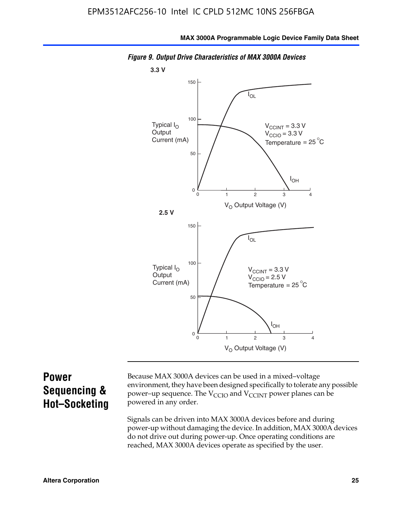

*Figure 9. Output Drive Characteristics of MAX 3000A Devices*

### **Power Sequencing & Hot–Socketing**

Because MAX 3000A devices can be used in a mixed–voltage environment, they have been designed specifically to tolerate any possible power–up sequence. The  $V_{CCIO}$  and  $V_{CCINT}$  power planes can be powered in any order.

Signals can be driven into MAX 3000A devices before and during power-up without damaging the device. In addition, MAX 3000A devices do not drive out during power-up. Once operating conditions are reached, MAX 3000A devices operate as specified by the user.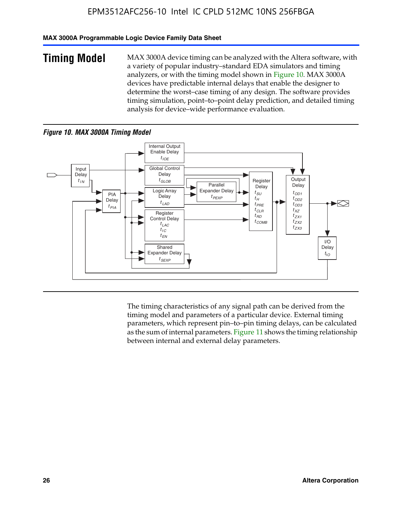### **MAX 3000A Programmable Logic Device Family Data Sheet**

**Timing Model** MAX 3000A device timing can be analyzed with the Altera software, with a variety of popular industry–standard EDA simulators and timing analyzers, or with the timing model shown in Figure 10. MAX 3000A devices have predictable internal delays that enable the designer to determine the worst–case timing of any design. The software provides timing simulation, point–to–point delay prediction, and detailed timing analysis for device–wide performance evaluation.

### *Figure 10. MAX 3000A Timing Model*



The timing characteristics of any signal path can be derived from the timing model and parameters of a particular device. External timing parameters, which represent pin–to–pin timing delays, can be calculated as the sum of internal parameters. Figure 11 shows the timing relationship between internal and external delay parameters.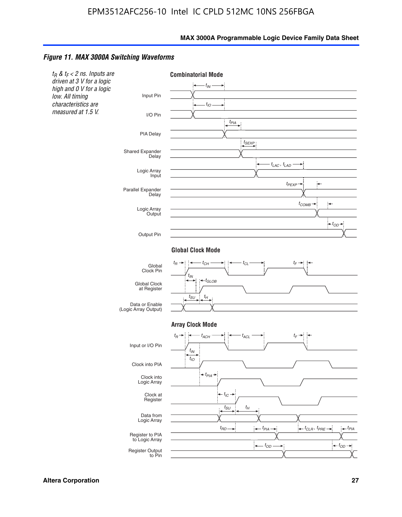#### *Figure 11. MAX 3000A Switching Waveforms*

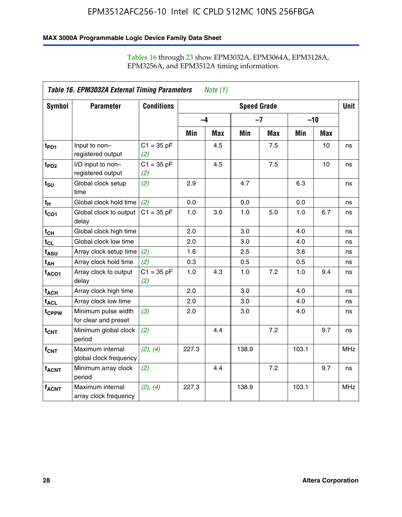### **MAX 3000A Programmable Logic Device Family Data Sheet**

|                             | Table 16. EPM3032A External Timing Parameters<br><i>Note</i> $(1)$ |                     |                    |     |       |            |       |            |            |
|-----------------------------|--------------------------------------------------------------------|---------------------|--------------------|-----|-------|------------|-------|------------|------------|
| Symbol                      | <b>Parameter</b>                                                   | <b>Conditions</b>   | <b>Speed Grade</b> |     |       |            |       |            |            |
|                             |                                                                    |                     | $-4$               |     |       | $-7$       | $-10$ |            |            |
|                             |                                                                    |                     | Min                | Max | Min   | <b>Max</b> | Min   | <b>Max</b> |            |
| $t_{PD1}$                   | Input to non-<br>registered output                                 | $C1 = 35 pF$<br>(2) |                    | 4.5 |       | 7.5        |       | 10         | ns         |
| $t_{PD2}$                   | I/O input to non-<br>registered output                             | $C1 = 35 pF$<br>(2) |                    | 4.5 |       | 7.5        |       | 10         | ns         |
| $t_{\scriptstyle\text{SU}}$ | Global clock setup<br>time                                         | (2)                 | 2.9                |     | 4.7   |            | 6.3   |            | ns         |
| $t_H$                       | Global clock hold time                                             | (2)                 | 0.0                |     | 0.0   |            | 0.0   |            | ns         |
| $t_{CO1}$                   | Global clock to output<br>delay                                    | $C1 = 35 pF$        | 1.0                | 3.0 | 1.0   | 5.0        | 1.0   | 6.7        | ns         |
| $t_{CH}$                    | Global clock high time                                             |                     | 2.0                |     | 3.0   |            | 4.0   |            | ns         |
| $t_{CL}$                    | Global clock low time                                              |                     | 2.0                |     | 3.0   |            | 4.0   |            | ns         |
| $t_{\mathsf{ASU}}$          | Array clock setup time                                             | (2)                 | 1.6                |     | 2.5   |            | 3.6   |            | ns         |
| t <sub>AH</sub>             | Array clock hold time                                              | (2)                 | 0.3                |     | 0.5   |            | 0.5   |            | ns         |
| t <sub>ACO1</sub>           | Array clock to output<br>delay                                     | $C1 = 35 pF$<br>(2) | 1.0                | 4.3 | 1.0   | 7.2        | 1.0   | 9.4        | ns         |
| $t_{ACH}$                   | Array clock high time                                              |                     | 2.0                |     | 3.0   |            | 4.0   |            | ns         |
| $\textsf{t}_{\mathsf{ACL}}$ | Array clock low time                                               |                     | 2.0                |     | 3.0   |            | 4.0   |            | ns         |
| t <sub>CPPW</sub>           | Minimum pulse width<br>for clear and preset                        | (3)                 | 2.0                |     | 3.0   |            | 4.0   |            | ns         |
| $t_{\text{CNT}}$            | Minimum global clock<br>period                                     | (2)                 |                    | 4.4 |       | 7.2        |       | 9.7        | ns         |
| f <sub>CNT</sub>            | Maximum internal<br>global clock frequency                         | (2), (4)            | 227.3              |     | 138.9 |            | 103.1 |            | <b>MHz</b> |
| $t_{ACNT}$                  | Minimum array clock<br>period                                      | (2)                 |                    | 4.4 |       | 7.2        |       | 9.7        | ns         |
| $f_{ACNT}$                  | Maximum internal<br>array clock frequency                          | (2), (4)            | 227.3              |     | 138.9 |            | 103.1 |            | <b>MHz</b> |

### Tables 16 through 23 show EPM3032A, EPM3064A, EPM3128A, EPM3256A, and EPM3512A timing information.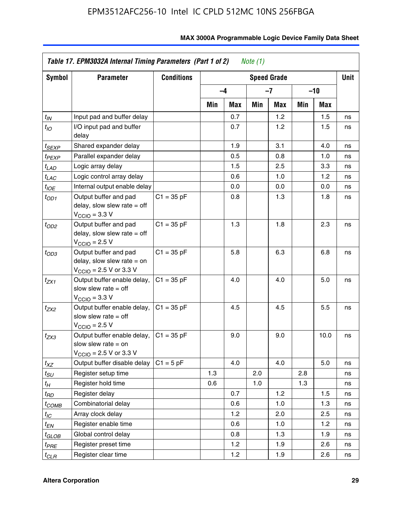| Symbol            | <b>Parameter</b>                                                                                             | <b>Conditions</b> | <b>Speed Grade</b> |      |     |     |     |      | <b>Unit</b> |
|-------------------|--------------------------------------------------------------------------------------------------------------|-------------------|--------------------|------|-----|-----|-----|------|-------------|
|                   |                                                                                                              |                   |                    | $-4$ |     | -7  | -10 |      |             |
|                   |                                                                                                              |                   | Min                | Max  | Min | Max | Min | Max  |             |
| $t_{\mathit{IN}}$ | Input pad and buffer delay                                                                                   |                   |                    | 0.7  |     | 1.2 |     | 1.5  | ns          |
| $t_{IO}$          | I/O input pad and buffer<br>delay                                                                            |                   |                    | 0.7  |     | 1.2 |     | 1.5  | ns          |
| t <sub>SEXP</sub> | Shared expander delay                                                                                        |                   |                    | 1.9  |     | 3.1 |     | 4.0  | ns          |
| t <sub>PEXP</sub> | Parallel expander delay                                                                                      |                   |                    | 0.5  |     | 0.8 |     | 1.0  | ns          |
| t <sub>LAD</sub>  | Logic array delay                                                                                            |                   |                    | 1.5  |     | 2.5 |     | 3.3  | ns          |
| $t_{LAC}$         | Logic control array delay                                                                                    |                   |                    | 0.6  |     | 1.0 |     | 1.2  | ns          |
| t <sub>IOE</sub>  | Internal output enable delay                                                                                 |                   |                    | 0.0  |     | 0.0 |     | 0.0  | ns          |
| $t_{OD1}$         | Output buffer and pad<br>delay, slow slew rate $=$ off<br>$V_{\text{CCIO}} = 3.3 \text{ V}$                  | $C1 = 35 pF$      |                    | 0.8  |     | 1.3 |     | 1.8  | ns          |
| t <sub>OD2</sub>  | Output buffer and pad<br>delay, slow slew rate $=$ off<br>$V_{\text{CCIO}}$ = 2.5 V                          | $C1 = 35 pF$      |                    | 1.3  |     | 1.8 |     | 2.3  | ns          |
| $t_{OD3}$         | Output buffer and pad<br>delay, slow slew rate $=$ on<br>$V_{\text{CCIO}} = 2.5 \text{ V or } 3.3 \text{ V}$ | $C1 = 35 pF$      |                    | 5.8  |     | 6.3 |     | 6.8  | ns          |
| t <sub>ZX1</sub>  | Output buffer enable delay,<br>slow slew rate $=$ off<br>$V_{\rm CClO}$ = 3.3 V                              | $C1 = 35 pF$      |                    | 4.0  |     | 4.0 |     | 5.0  | ns          |
| t <sub>ZX2</sub>  | Output buffer enable delay,<br>slow slew rate $=$ off<br>$V_{\text{CCIO}} = 2.5 V$                           | $C1 = 35 pF$      |                    | 4.5  |     | 4.5 |     | 5.5  | ns          |
| t <sub>ZX3</sub>  | Output buffer enable delay,<br>slow slew rate $=$ on<br>$V_{\text{CCIO}} = 2.5 \text{ V or } 3.3 \text{ V}$  | $C1 = 35 pF$      |                    | 9.0  |     | 9.0 |     | 10.0 | ns          |
| $t_{XZ}$          | Output buffer disable delay                                                                                  | $C1 = 5 pF$       |                    | 4.0  |     | 4.0 |     | 5.0  | ns          |
| tsu               | Register setup time                                                                                          |                   | 1.3                |      | 2.0 |     | 2.8 |      | ns          |
| t <sub>Η</sub>    | Register hold time                                                                                           |                   | 0.6                |      | 1.0 |     | 1.3 |      | ns          |
| t <sub>RD</sub>   | Register delay                                                                                               |                   |                    | 0.7  |     | 1.2 |     | 1.5  | ns          |
| t <sub>COMB</sub> | Combinatorial delay                                                                                          |                   |                    | 0.6  |     | 1.0 |     | 1.3  | ns          |
| $t_{IC}$          | Array clock delay                                                                                            |                   |                    | 1.2  |     | 2.0 |     | 2.5  | ns          |
| $t_{EN}$          | Register enable time                                                                                         |                   |                    | 0.6  |     | 1.0 |     | 1.2  | ns          |
| t <sub>GLOB</sub> | Global control delay                                                                                         |                   |                    | 0.8  |     | 1.3 |     | 1.9  | ns          |
| t <sub>PRE</sub>  | Register preset time                                                                                         |                   |                    | 1.2  |     | 1.9 |     | 2.6  | ns          |
| $t_{CLR}$         | Register clear time                                                                                          |                   |                    | 1.2  |     | 1.9 |     | 2.6  | ns          |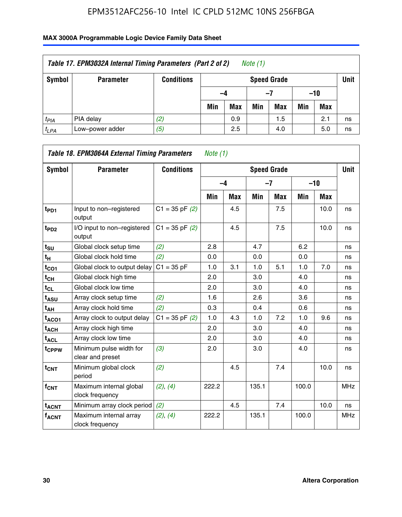| Table 17. EPM3032A Internal Timing Parameters (Part 2 of 2)<br>Note (1) |                  |                   |     |                    |     |     |       |     |    |  |
|-------------------------------------------------------------------------|------------------|-------------------|-----|--------------------|-----|-----|-------|-----|----|--|
| Symbol                                                                  | <b>Parameter</b> | <b>Conditions</b> |     | <b>Speed Grade</b> |     |     |       |     |    |  |
|                                                                         |                  |                   | -4  |                    | -7  |     | $-10$ |     |    |  |
|                                                                         |                  |                   | Min | <b>Max</b>         | Min | Max | Min   | Max |    |  |
| $t_{PIA}$                                                               | PIA delay        | (2)               |     | 0.9                |     | 1.5 |       | 2.1 | ns |  |
| $t_{LPA}$                                                               | Low-power adder  | (5)               |     | 2.5                |     | 4.0 |       | 5.0 | ns |  |

|                         | Table 18. EPM3064A External Timing Parameters | Note $(1)$         |       |            |                    |            |       |       |             |
|-------------------------|-----------------------------------------------|--------------------|-------|------------|--------------------|------------|-------|-------|-------------|
| Symbol                  | <b>Parameter</b>                              | <b>Conditions</b>  |       |            | <b>Speed Grade</b> |            |       |       | <b>Unit</b> |
|                         |                                               |                    |       | $-4$       |                    | $-7$       |       | $-10$ |             |
|                         |                                               |                    | Min   | <b>Max</b> | Min                | <b>Max</b> | Min   | Max   |             |
| t <sub>PD1</sub>        | Input to non-registered<br>output             | $C1 = 35$ pF $(2)$ |       | 4.5        |                    | 7.5        |       | 10.0  | ns          |
| t <sub>PD2</sub>        | I/O input to non-registered<br>output         | $C1 = 35$ pF $(2)$ |       | 4.5        |                    | 7.5        |       | 10.0  | ns          |
| $t_{\text{SU}}$         | Global clock setup time                       | (2)                | 2.8   |            | 4.7                |            | 6.2   |       | ns          |
| t <sub>H</sub>          | Global clock hold time                        | (2)                | 0.0   |            | 0.0                |            | 0.0   |       | ns          |
| $t_{CO1}$               | Global clock to output delay                  | $C1 = 35 pF$       | 1.0   | 3.1        | 1.0                | 5.1        | 1.0   | 7.0   | ns          |
| $t_{CH}$                | Global clock high time                        |                    | 2.0   |            | 3.0                |            | 4.0   |       | ns          |
| $t_{CL}$                | Global clock low time                         |                    | 2.0   |            | 3.0                |            | 4.0   |       | ns          |
| t <sub>ASU</sub>        | Array clock setup time                        | (2)                | 1.6   |            | 2.6                |            | 3.6   |       | ns          |
| t <sub>АН</sub>         | Array clock hold time                         | (2)                | 0.3   |            | 0.4                |            | 0.6   |       | ns          |
| t <sub>ACO1</sub>       | Array clock to output delay                   | $C1 = 35$ pF $(2)$ | 1.0   | 4.3        | 1.0                | 7.2        | 1.0   | 9.6   | ns          |
| $t_{\sf ACH}$           | Array clock high time                         |                    | 2.0   |            | 3.0                |            | 4.0   |       | ns          |
| t <sub>ACL</sub>        | Array clock low time                          |                    | 2.0   |            | 3.0                |            | 4.0   |       | ns          |
| t <sub>CPPW</sub>       | Minimum pulse width for<br>clear and preset   | (3)                | 2.0   |            | 3.0                |            | 4.0   |       | ns          |
| $t_{\text{CNT}}$        | Minimum global clock<br>period                | (2)                |       | 4.5        |                    | 7.4        |       | 10.0  | ns          |
| $f_{\text{CNT}}$        | Maximum internal global<br>clock frequency    | (2), (4)           | 222.2 |            | 135.1              |            | 100.0 |       | <b>MHz</b>  |
| <b>t<sub>ACNT</sub></b> | Minimum array clock period                    | (2)                |       | 4.5        |                    | 7.4        |       | 10.0  | ns          |
| <b>fACNT</b>            | Maximum internal array<br>clock frequency     | (2), (4)           | 222.2 |            | 135.1              |            | 100.0 |       | <b>MHz</b>  |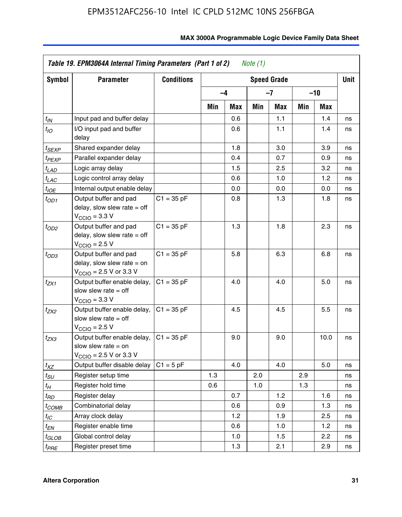| Symbol                | <b>Parameter</b>                                                                                             | <b>Conditions</b> |     |            |     | <b>Speed Grade</b> |     |            | <b>Unit</b> |
|-----------------------|--------------------------------------------------------------------------------------------------------------|-------------------|-----|------------|-----|--------------------|-----|------------|-------------|
|                       |                                                                                                              |                   |     | $-4$       |     | $-7$               |     | -10        |             |
|                       |                                                                                                              |                   | Min | <b>Max</b> | Min | Max                | Min | <b>Max</b> |             |
| $t_{\mathsf{IN}}$     | Input pad and buffer delay                                                                                   |                   |     | 0.6        |     | 1.1                |     | 1.4        | ns          |
| $t_{IO}$              | I/O input pad and buffer<br>delay                                                                            |                   |     | 0.6        |     | 1.1                |     | 1.4        | ns          |
| t <sub>SEXP</sub>     | Shared expander delay                                                                                        |                   |     | 1.8        |     | 3.0                |     | 3.9        | ns          |
| t <sub>PEXP</sub>     | Parallel expander delay                                                                                      |                   |     | 0.4        |     | 0.7                |     | 0.9        | ns          |
| $t_{LAD}$             | Logic array delay                                                                                            |                   |     | 1.5        |     | 2.5                |     | 3.2        | ns          |
| $t_{LAC}$             | Logic control array delay                                                                                    |                   |     | 0.6        |     | 1.0                |     | 1.2        | ns          |
| $t_{IOE}$             | Internal output enable delay                                                                                 |                   |     | 0.0        |     | 0.0                |     | 0.0        | ns          |
| $t_{OD1}$             | Output buffer and pad<br>delay, slow slew rate $=$ off<br>$V_{\text{CCIO}} = 3.3 \text{ V}$                  | $C1 = 35 pF$      |     | 0.8        |     | 1.3                |     | 1.8        | ns          |
| $t_{OD2}$             | Output buffer and pad<br>delay, slow slew rate $=$ off<br>$V_{\rm CClO}$ = 2.5 V                             | $C1 = 35 pF$      |     | 1.3        |     | 1.8                |     | 2.3        | ns          |
| $t_{OD3}$             | Output buffer and pad<br>delay, slow slew rate $=$ on<br>$V_{\text{CGIO}} = 2.5 \text{ V or } 3.3 \text{ V}$ | $C1 = 35 pF$      |     | 5.8        |     | 6.3                |     | 6.8        | ns          |
| $t_{ZX1}$             | Output buffer enable delay,<br>slow slew rate $=$ off<br>$V_{\text{CCIO}} = 3.3 V$                           | $C1 = 35 pF$      |     | 4.0        |     | 4.0                |     | 5.0        | ns          |
| t <sub>ZX2</sub>      | Output buffer enable delay,<br>slow slew rate $=$ off<br>$V_{\rm CClO}$ = 2.5 V                              | $C1 = 35 pF$      |     | 4.5        |     | 4.5                |     | 5.5        | ns          |
| t <sub>ZX3</sub>      | Output buffer enable delay,<br>slow slew rate $=$ on<br>$V_{\text{CCIO}} = 2.5 \text{ V or } 3.3 \text{ V}$  | $C1 = 35 pF$      |     | 9.0        |     | 9.0                |     | 10.0       | ns          |
| $t_{XZ}$              | Output buffer disable delay                                                                                  | $C1 = 5 pF$       |     | 4.0        |     | 4.0                |     | 5.0        | ns          |
| $t_{\scriptstyle SU}$ | Register setup time                                                                                          |                   | 1.3 |            | 2.0 |                    | 2.9 |            | ns          |
| $t_H$                 | Register hold time                                                                                           |                   | 0.6 |            | 1.0 |                    | 1.3 |            | ns          |
| t <sub>RD</sub>       | Register delay                                                                                               |                   |     | 0.7        |     | 1.2                |     | 1.6        | ns          |
| t <sub>COMB</sub>     | Combinatorial delay                                                                                          |                   |     | 0.6        |     | 0.9                |     | 1.3        | ns          |
| $t_{IC}$              | Array clock delay                                                                                            |                   |     | 1.2        |     | 1.9                |     | 2.5        | ns          |
| $t_{EN}$              | Register enable time                                                                                         |                   |     | 0.6        |     | 1.0                |     | 1.2        | ns          |
| t <sub>GLOB</sub>     | Global control delay                                                                                         |                   |     | 1.0        |     | 1.5                |     | 2.2        | ns          |
| t <sub>PRE</sub>      | Register preset time                                                                                         |                   |     | 1.3        |     | 2.1                |     | 2.9        | ns          |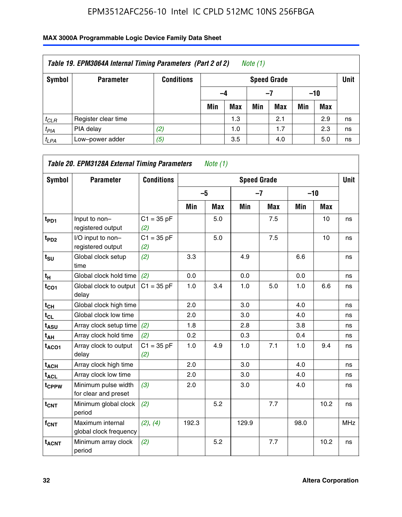| Table 19. EPM3064A Internal Timing Parameters (Part 2 of 2)<br>Note $(1)$ |                     |                   |     |                                   |     |            |     |            |    |  |  |
|---------------------------------------------------------------------------|---------------------|-------------------|-----|-----------------------------------|-----|------------|-----|------------|----|--|--|
| Symbol                                                                    | <b>Parameter</b>    | <b>Conditions</b> |     | <b>Unit</b><br><b>Speed Grade</b> |     |            |     |            |    |  |  |
|                                                                           |                     |                   |     | $-10$<br>-4<br>-7                 |     |            |     |            |    |  |  |
|                                                                           |                     |                   | Min | <b>Max</b>                        | Min | <b>Max</b> | Min | <b>Max</b> |    |  |  |
| $t_{CLR}$                                                                 | Register clear time |                   |     | 1.3                               |     | 2.1        |     | 2.9        | ns |  |  |
| $t_{PIA}$                                                                 | PIA delay           | (2)               |     | 1.0                               |     | 1.7        |     | 2.3        | ns |  |  |
| $t_{LPA}$                                                                 | Low-power adder     | (5)               |     | 3.5                               |     | 4.0        |     | 5.0        | ns |  |  |

| Symbol                  | <b>Parameter</b>                            | <b>Conditions</b>   |       |            | <b>Speed Grade</b> |            |       |            | <b>Unit</b> |
|-------------------------|---------------------------------------------|---------------------|-------|------------|--------------------|------------|-------|------------|-------------|
|                         |                                             |                     | $-5$  |            | $-7$               |            | $-10$ |            |             |
|                         |                                             |                     | Min   | <b>Max</b> | Min                | <b>Max</b> | Min   | <b>Max</b> |             |
| $t_{PD1}$               | Input to non-<br>registered output          | $C1 = 35 pF$<br>(2) |       | 5.0        |                    | 7.5        |       | 10         | ns          |
| $t_{PD2}$               | I/O input to non-<br>registered output      | $C1 = 35 pF$<br>(2) |       | 5.0        |                    | 7.5        |       | 10         | ns          |
| $t_{\text{SU}}$         | Global clock setup<br>time                  | (2)                 | 3.3   |            | 4.9                |            | 6.6   |            | ns          |
| $t_H$                   | Global clock hold time                      | (2)                 | 0.0   |            | 0.0                |            | 0.0   |            | ns          |
| $t_{CO1}$               | Global clock to output<br>delay             | $C1 = 35 pF$        | 1.0   | 3.4        | 1.0                | 5.0        | 1.0   | 6.6        | ns          |
| $t_{CH}$                | Global clock high time                      |                     | 2.0   |            | 3.0                |            | 4.0   |            | ns          |
| $t_{CL}$                | Global clock low time                       |                     | 2.0   |            | 3.0                |            | 4.0   |            | ns          |
| $t_{\mathsf{ASU}}$      | Array clock setup time                      | (2)                 | 1.8   |            | 2.8                |            | 3.8   |            | ns          |
| t <sub>АН</sub>         | Array clock hold time                       | (2)                 | 0.2   |            | 0.3                |            | 0.4   |            | ns          |
| $t_{ACO1}$              | Array clock to output<br>delay              | $C1 = 35 pF$<br>(2) | 1.0   | 4.9        | 1.0                | 7.1        | 1.0   | 9.4        | ns          |
| $t_{ACH}$               | Array clock high time                       |                     | 2.0   |            | 3.0                |            | 4.0   |            | ns          |
| t <sub>ACL</sub>        | Array clock low time                        |                     | 2.0   |            | 3.0                |            | 4.0   |            | ns          |
| t <sub>CPPW</sub>       | Minimum pulse width<br>for clear and preset | (3)                 | 2.0   |            | 3.0                |            | 4.0   |            | ns          |
| $t_{CNT}$               | Minimum global clock<br>period              | (2)                 |       | 5.2        |                    | 7.7        |       | 10.2       | ns          |
| f <sub>CNT</sub>        | Maximum internal<br>global clock frequency  | (2), (4)            | 192.3 |            | 129.9              |            | 98.0  |            | <b>MHz</b>  |
| <b>t<sub>ACNT</sub></b> | Minimum array clock<br>period               | (2)                 |       | 5.2        |                    | 7.7        |       | 10.2       | ns          |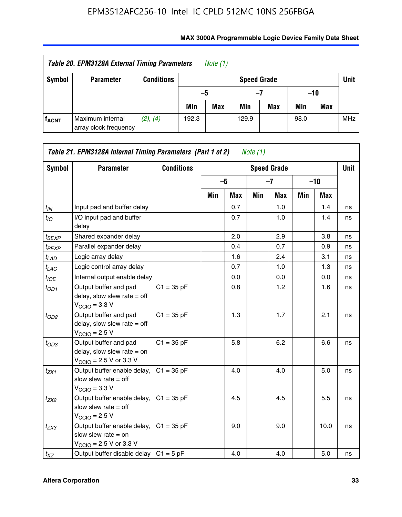| Table 20. EPM3128A External Timing Parameters<br>Note $(1)$ |                                           |                   |       |            |                    |     |       |     |             |
|-------------------------------------------------------------|-------------------------------------------|-------------------|-------|------------|--------------------|-----|-------|-----|-------------|
| Symbol                                                      | <b>Parameter</b>                          | <b>Conditions</b> |       |            | <b>Speed Grade</b> |     |       |     | <b>Unit</b> |
|                                                             |                                           |                   | -5    |            | -7                 |     | $-10$ |     |             |
|                                                             |                                           |                   | Min   | <b>Max</b> | Min                | Max | Min   | Max |             |
| <b>fACNT</b>                                                | Maximum internal<br>array clock frequency | (2), (4)          | 192.3 |            | 129.9              |     | 98.0  |     | <b>MHz</b>  |

| Symbol             | <b>Parameter</b>                                                                                             | <b>Conditions</b> |     |            |     | <b>Speed Grade</b> |     |       | <b>Unit</b> |
|--------------------|--------------------------------------------------------------------------------------------------------------|-------------------|-----|------------|-----|--------------------|-----|-------|-------------|
|                    |                                                                                                              |                   |     | $-5$       |     | $-7$               |     | $-10$ |             |
|                    |                                                                                                              |                   | Min | <b>Max</b> | Min | <b>Max</b>         | Min | Max   |             |
| $t_{\mathit{IN}}$  | Input pad and buffer delay                                                                                   |                   |     | 0.7        |     | 1.0                |     | 1.4   | ns          |
| $t_{IO}$           | I/O input pad and buffer<br>delay                                                                            |                   |     | 0.7        |     | 1.0                |     | 1.4   | ns          |
| t <sub>SEXP</sub>  | Shared expander delay                                                                                        |                   |     | 2.0        |     | 2.9                |     | 3.8   | ns          |
| t <sub>PEXP</sub>  | Parallel expander delay                                                                                      |                   |     | 0.4        |     | 0.7                |     | 0.9   | ns          |
| $t_{LAD}$          | Logic array delay                                                                                            |                   |     | 1.6        |     | 2.4                |     | 3.1   | ns          |
| t <sub>LAC</sub>   | Logic control array delay                                                                                    |                   |     | 0.7        |     | 1.0                |     | 1.3   | ns          |
| $t_{\textit{IOE}}$ | Internal output enable delay                                                                                 |                   |     | 0.0        |     | 0.0                |     | 0.0   | ns          |
| $t_{OD1}$          | Output buffer and pad<br>delay, slow slew rate $=$ off<br>$V_{\text{CCIO}} = 3.3 \text{ V}$                  | $C1 = 35 pF$      |     | 0.8        |     | 1.2                |     | 1.6   | ns          |
| $t_{OD2}$          | Output buffer and pad<br>delay, slow slew rate $=$ off<br>$VCCIO = 2.5 V$                                    | $C1 = 35 pF$      |     | 1.3        |     | 1.7                |     | 2.1   | ns          |
| $t_{OD3}$          | Output buffer and pad<br>delay, slow slew rate $=$ on<br>$V_{\text{CCIO}} = 2.5 \text{ V or } 3.3 \text{ V}$ | $C1 = 35 pF$      |     | 5.8        |     | 6.2                |     | 6.6   | ns          |
| t <sub>ZX1</sub>   | Output buffer enable delay,<br>slow slew rate $=$ off<br>$V_{\text{CCIO}} = 3.3 V$                           | $C1 = 35 pF$      |     | 4.0        |     | 4.0                |     | 5.0   | ns          |
| t <sub>ZX2</sub>   | Output buffer enable delay,<br>slow slew rate $=$ off<br>$VCCIO = 2.5 V$                                     | $C1 = 35 pF$      |     | 4.5        |     | 4.5                |     | 5.5   | ns          |
| t <sub>ZX3</sub>   | Output buffer enable delay,<br>slow slew rate $=$ on<br>$V_{\text{CCIO}} = 2.5 \text{ V or } 3.3 \text{ V}$  | $C1 = 35 pF$      |     | 9.0        |     | 9.0                |     | 10.0  | ns          |
| $t_{XZ}$           | Output buffer disable delay                                                                                  | $C1 = 5$ pF       |     | 4.0        |     | 4.0                |     | 5.0   | ns          |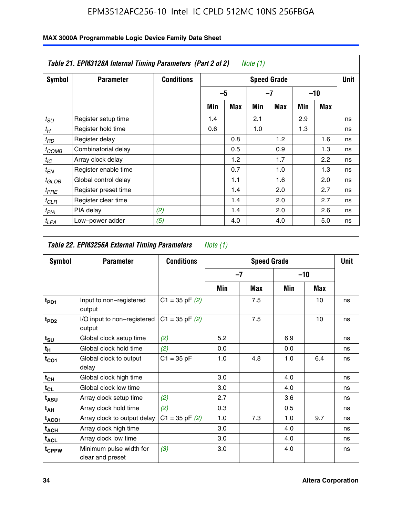|                   | Table 21. EPM3128A Internal Timing Parameters (Part 2 of 2)<br>Note (1) |                   |     |            |     |                    |     |       |             |  |  |
|-------------------|-------------------------------------------------------------------------|-------------------|-----|------------|-----|--------------------|-----|-------|-------------|--|--|
| Symbol            | <b>Parameter</b>                                                        | <b>Conditions</b> |     |            |     | <b>Speed Grade</b> |     |       | <b>Unit</b> |  |  |
|                   |                                                                         |                   |     | -5         |     | -7                 |     | $-10$ |             |  |  |
|                   |                                                                         |                   | Min | <b>Max</b> | Min | Max                | Min | Max   |             |  |  |
| $t_{SU}$          | Register setup time                                                     |                   | 1.4 |            | 2.1 |                    | 2.9 |       | ns          |  |  |
| $t_H$             | Register hold time                                                      |                   | 0.6 |            | 1.0 |                    | 1.3 |       | ns          |  |  |
| $t_{RD}$          | Register delay                                                          |                   |     | 0.8        |     | 1.2                |     | 1.6   | ns          |  |  |
| t <sub>COMB</sub> | Combinatorial delay                                                     |                   |     | 0.5        |     | 0.9                |     | 1.3   | ns          |  |  |
| $t_{IC}$          | Array clock delay                                                       |                   |     | 1.2        |     | 1.7                |     | 2.2   | ns          |  |  |
| t <sub>EN</sub>   | Register enable time                                                    |                   |     | 0.7        |     | 1.0                |     | 1.3   | ns          |  |  |
| $t_{GLOB}$        | Global control delay                                                    |                   |     | 1.1        |     | 1.6                |     | 2.0   | ns          |  |  |
| $t_{PRE}$         | Register preset time                                                    |                   |     | 1.4        |     | 2.0                |     | 2.7   | ns          |  |  |
| $t_{CLR}$         | Register clear time                                                     |                   |     | 1.4        |     | 2.0                |     | 2.7   | ns          |  |  |
| t <sub>PIA</sub>  | PIA delay                                                               | (2)               |     | 1.4        |     | 2.0                |     | 2.6   | ns          |  |  |
| $t_{LPA}$         | Low-power adder                                                         | (5)               |     | 4.0        |     | 4.0                |     | 5.0   | ns          |  |  |

| Table 22. EPM3256A External Timing Parameters<br>Note $(1)$ |                                             |                    |     |                    |       |     |             |  |  |  |
|-------------------------------------------------------------|---------------------------------------------|--------------------|-----|--------------------|-------|-----|-------------|--|--|--|
| Symbol                                                      | <b>Parameter</b>                            | <b>Conditions</b>  |     | <b>Speed Grade</b> |       |     | <b>Unit</b> |  |  |  |
|                                                             |                                             |                    |     | $-7$               | $-10$ |     |             |  |  |  |
|                                                             |                                             |                    | Min | Max                | Min   | Max |             |  |  |  |
| $t_{PD1}$                                                   | Input to non-registered<br>output           | $C1 = 35$ pF $(2)$ |     | 7.5                |       | 10  | ns          |  |  |  |
| t <sub>PD2</sub>                                            | I/O input to non-registered<br>output       | $C1 = 35$ pF $(2)$ |     | 7.5                |       | 10  | ns          |  |  |  |
| $t_{s\underline{u}}$                                        | Global clock setup time                     | (2)                | 5.2 |                    | 6.9   |     | ns          |  |  |  |
| $t_H$                                                       | Global clock hold time                      | (2)                | 0.0 |                    | 0.0   |     | ns          |  |  |  |
| $t_{CO1}$                                                   | Global clock to output<br>delay             | $C1 = 35 pF$       | 1.0 | 4.8                | 1.0   | 6.4 | ns          |  |  |  |
| $t_{CH}$                                                    | Global clock high time                      |                    | 3.0 |                    | 4.0   |     | ns          |  |  |  |
| $t_{CL}$                                                    | Global clock low time                       |                    | 3.0 |                    | 4.0   |     | ns          |  |  |  |
| t <sub>ASU</sub>                                            | Array clock setup time                      | (2)                | 2.7 |                    | 3.6   |     | ns          |  |  |  |
| $t_{AH}$                                                    | Array clock hold time                       | (2)                | 0.3 |                    | 0.5   |     | ns          |  |  |  |
| t <sub>ACO1</sub>                                           | Array clock to output delay                 | $C1 = 35$ pF $(2)$ | 1.0 | 7.3                | 1.0   | 9.7 | ns          |  |  |  |
| $t_{\sf ACH}$                                               | Array clock high time                       |                    | 3.0 |                    | 4.0   |     | ns          |  |  |  |
| $t_{\text{ACL}}$                                            | Array clock low time                        |                    | 3.0 |                    | 4.0   |     | ns          |  |  |  |
| t <sub>CPPW</sub>                                           | Minimum pulse width for<br>clear and preset | (3)                | 3.0 |                    | 4.0   |     | ns          |  |  |  |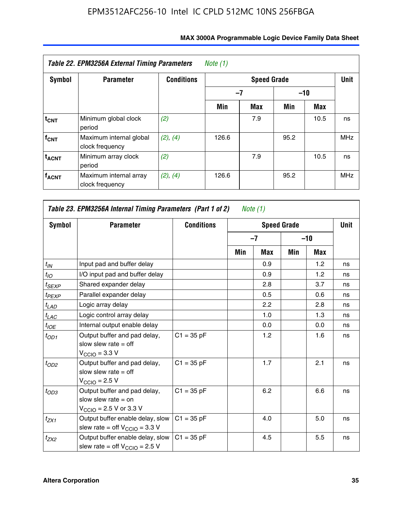| Table 22. EPM3256A External Timing Parameters<br>Note (1) |                                            |                   |               |     |      |      |            |  |  |  |
|-----------------------------------------------------------|--------------------------------------------|-------------------|---------------|-----|------|------|------------|--|--|--|
| <b>Symbol</b>                                             | <b>Parameter</b>                           | <b>Conditions</b> |               |     | Unit |      |            |  |  |  |
|                                                           |                                            |                   | $-7$<br>$-10$ |     |      |      |            |  |  |  |
|                                                           |                                            |                   | Min           | Max | Min  | Max  |            |  |  |  |
| $t_{CNT}$                                                 | Minimum global clock<br>period             | (2)               |               | 7.9 |      | 10.5 | ns         |  |  |  |
| f <sub>CNT</sub>                                          | Maximum internal global<br>clock frequency | (2), (4)          | 126.6         |     | 95.2 |      | <b>MHz</b> |  |  |  |
| <b>t<sub>ACNT</sub></b>                                   | Minimum array clock<br>period              | (2)               |               | 7.9 |      | 10.5 | ns         |  |  |  |
| <b>fACNT</b>                                              | Maximum internal array<br>clock frequency  | (2), (4)          | 126.6         |     | 95.2 |      | <b>MHz</b> |  |  |  |

| Table 23. EPM3256A Internal Timing Parameters (Part 1 of 2)<br>Note $(1)$ |                                                                                                              |                   |     |            |                    |       |             |  |  |
|---------------------------------------------------------------------------|--------------------------------------------------------------------------------------------------------------|-------------------|-----|------------|--------------------|-------|-------------|--|--|
| Symbol                                                                    | <b>Parameter</b>                                                                                             | <b>Conditions</b> |     |            | <b>Speed Grade</b> |       | <b>Unit</b> |  |  |
|                                                                           |                                                                                                              |                   |     | $-7$       |                    | $-10$ |             |  |  |
|                                                                           |                                                                                                              |                   | Min | <b>Max</b> | Min                | Max   |             |  |  |
| $t_{IN}$                                                                  | Input pad and buffer delay                                                                                   |                   |     | 0.9        |                    | 1.2   | ns          |  |  |
| $t_{IO}$                                                                  | I/O input pad and buffer delay                                                                               |                   |     | 0.9        |                    | 1.2   | ns          |  |  |
| $t_{SEXP}$                                                                | Shared expander delay                                                                                        |                   |     | 2.8        |                    | 3.7   | ns          |  |  |
| $t_{PEXP}$                                                                | Parallel expander delay                                                                                      |                   |     | 0.5        |                    | 0.6   | ns          |  |  |
| $t_{LAD}$                                                                 | Logic array delay                                                                                            |                   |     | 2.2        |                    | 2.8   | ns          |  |  |
| $t_{LAC}$                                                                 | Logic control array delay                                                                                    |                   |     | 1.0        |                    | 1.3   | ns          |  |  |
| $t_{IOE}$                                                                 | Internal output enable delay                                                                                 |                   |     | 0.0        |                    | 0.0   | ns          |  |  |
| $t_{OD1}$                                                                 | Output buffer and pad delay,<br>slow slew rate $=$ off<br>$V_{\text{CCIO}} = 3.3 V$                          | $C1 = 35 pF$      |     | 1.2        |                    | 1.6   | ns          |  |  |
| $t_{OD2}$                                                                 | Output buffer and pad delay,<br>slow slew rate $=$ off<br>$V_{\text{CCIO}}$ = 2.5 V                          | $C1 = 35 pF$      |     | 1.7        |                    | 2.1   | ns          |  |  |
| $t_{OD3}$                                                                 | Output buffer and pad delay,<br>slow slew rate $=$ on<br>$V_{\text{CCIO}} = 2.5 \text{ V or } 3.3 \text{ V}$ | $C1 = 35 pF$      |     | 6.2        |                    | 6.6   | ns          |  |  |
| $t_{ZX1}$                                                                 | Output buffer enable delay, slow<br>slew rate = off $V_{\text{CCIO}} = 3.3 V$                                | $C1 = 35 pF$      |     | 4.0        |                    | 5.0   | ns          |  |  |
| $t_{ZX2}$                                                                 | Output buffer enable delay, slow<br>slew rate = off $V_{\text{CCIO}} = 2.5 V$                                | $C1 = 35 pF$      |     | 4.5        |                    | 5.5   | ns          |  |  |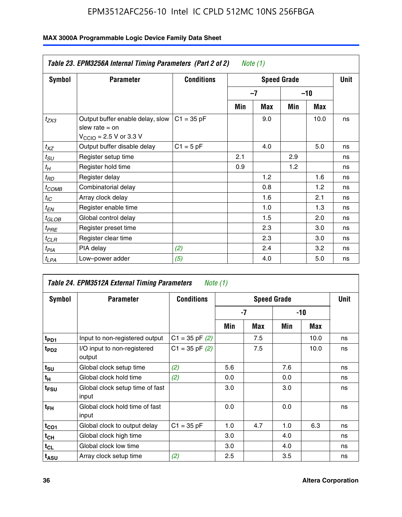|               | Table 23. EPM3256A Internal Timing Parameters (Part 2 of 2)<br>Note (1)                                     |                   |     |                    |     |            |    |  |  |  |  |
|---------------|-------------------------------------------------------------------------------------------------------------|-------------------|-----|--------------------|-----|------------|----|--|--|--|--|
| <b>Symbol</b> | <b>Parameter</b>                                                                                            | <b>Conditions</b> |     | <b>Speed Grade</b> |     |            |    |  |  |  |  |
|               |                                                                                                             |                   |     | $-7$               |     | $-10$      |    |  |  |  |  |
|               |                                                                                                             |                   | Min | Max                | Min | <b>Max</b> |    |  |  |  |  |
| $t_{ZX3}$     | Output buffer enable delay, slow<br>slew rate $=$ on<br>$V_{\text{CCIO}} = 2.5 \text{ V or } 3.3 \text{ V}$ | $C1 = 35 pF$      |     | 9.0                |     | 10.0       | ns |  |  |  |  |
| $t_{XZ}$      | Output buffer disable delay                                                                                 | $C1 = 5 pF$       |     | 4.0                |     | 5.0        | ns |  |  |  |  |
| $t_{SU}$      | Register setup time                                                                                         |                   | 2.1 |                    | 2.9 |            | ns |  |  |  |  |
| $t_H$         | Register hold time                                                                                          |                   | 0.9 |                    | 1.2 |            | ns |  |  |  |  |
| $t_{RD}$      | Register delay                                                                                              |                   |     | 1.2                |     | 1.6        | ns |  |  |  |  |
| $t_{COMB}$    | Combinatorial delay                                                                                         |                   |     | 0.8                |     | 1.2        | ns |  |  |  |  |
| $t_{IC}$      | Array clock delay                                                                                           |                   |     | 1.6                |     | 2.1        | ns |  |  |  |  |
| $t_{EN}$      | Register enable time                                                                                        |                   |     | 1.0                |     | 1.3        | ns |  |  |  |  |
| $t_{GLOB}$    | Global control delay                                                                                        |                   |     | 1.5                |     | 2.0        | ns |  |  |  |  |
| $t_{PRE}$     | Register preset time                                                                                        |                   |     | 2.3                |     | 3.0        | ns |  |  |  |  |
| $t_{CLR}$     | Register clear time                                                                                         |                   |     | 2.3                |     | 3.0        | ns |  |  |  |  |
| $t_{PIA}$     | PIA delay                                                                                                   | (2)               |     | 2.4                |     | 3.2        | ns |  |  |  |  |
| $t_{LPA}$     | Low-power adder                                                                                             | (5)               |     | 4.0                |     | 5.0        | ns |  |  |  |  |

| Table 24. EPM3512A External Timing Parameters<br>Note (1) |                                          |                    |                    |     |       |      |    |
|-----------------------------------------------------------|------------------------------------------|--------------------|--------------------|-----|-------|------|----|
| Symbol                                                    | <b>Parameter</b>                         | <b>Conditions</b>  | <b>Speed Grade</b> |     |       | Unit |    |
|                                                           |                                          |                    | -7                 |     | $-10$ |      |    |
|                                                           |                                          |                    | Min                | Max | Min   | Max  |    |
| t <sub>PD1</sub>                                          | Input to non-registered output           | $C1 = 35$ pF $(2)$ |                    | 7.5 |       | 10.0 | ns |
| $t_{PD2}$                                                 | I/O input to non-registered<br>output    | $C1 = 35 pF(2)$    |                    | 7.5 |       | 10.0 | ns |
| $t_{\text{SU}}$                                           | Global clock setup time                  | (2)                | 5.6                |     | 7.6   |      | ns |
| $t_H$                                                     | Global clock hold time                   | (2)                | 0.0                |     | 0.0   |      | ns |
| t <sub>FSU</sub>                                          | Global clock setup time of fast<br>input |                    | 3.0                |     | 3.0   |      | ns |
| t <sub>FH</sub>                                           | Global clock hold time of fast<br>input  |                    | 0.0                |     | 0.0   |      | ns |
| $t_{CO1}$                                                 | Global clock to output delay             | $C1 = 35 pF$       | 1.0                | 4.7 | 1.0   | 6.3  | ns |
| $t_{CH}$                                                  | Global clock high time                   |                    | 3.0                |     | 4.0   |      | ns |
| $t_{CL}$                                                  | Global clock low time                    |                    | 3.0                |     | 4.0   |      | ns |
| t <sub>ASU</sub>                                          | Array clock setup time                   | (2)                | 2.5                |     | 3.5   |      | ns |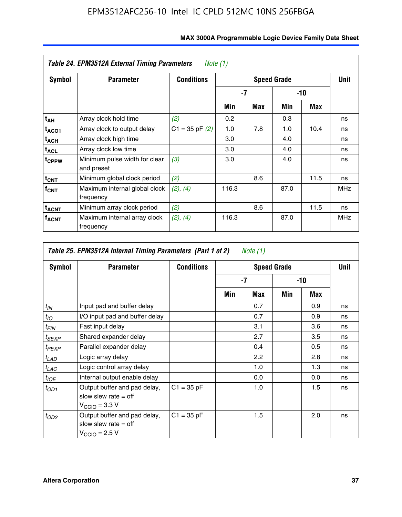| Table 24. EPM3512A External Timing Parameters<br>Note $(1)$ |                                             |                    |                    |     |       |      |            |
|-------------------------------------------------------------|---------------------------------------------|--------------------|--------------------|-----|-------|------|------------|
| Symbol                                                      | <b>Parameter</b>                            | <b>Conditions</b>  | <b>Speed Grade</b> |     |       |      | Unit       |
|                                                             |                                             |                    | -7                 |     | $-10$ |      |            |
|                                                             |                                             |                    | Min                | Max | Min   | Max  |            |
| t <sub>АН</sub>                                             | Array clock hold time                       | (2)                | 0.2                |     | 0.3   |      | ns         |
| t <sub>ACO1</sub>                                           | Array clock to output delay                 | $C1 = 35$ pF $(2)$ | 1.0                | 7.8 | 1.0   | 10.4 | ns         |
| $t_{\sf ACH}$                                               | Array clock high time                       |                    | 3.0                |     | 4.0   |      | ns         |
| $t_{\sf ACL}$                                               | Array clock low time                        |                    | 3.0                |     | 4.0   |      | ns         |
| t <sub>CPPW</sub>                                           | Minimum pulse width for clear<br>and preset | (3)                | 3.0                |     | 4.0   |      | ns         |
| $t_{\text{CNT}}$                                            | Minimum global clock period                 | (2)                |                    | 8.6 |       | 11.5 | ns         |
| $f_{CNT}$                                                   | Maximum internal global clock<br>frequency  | (2), (4)           | 116.3              |     | 87.0  |      | <b>MHz</b> |
| <sup>t</sup> acnt                                           | Minimum array clock period                  | (2)                |                    | 8.6 |       | 11.5 | ns         |
| <sup>T</sup> ACNT                                           | Maximum internal array clock<br>frequency   | (2), (4)           | 116.3              |     | 87.0  |      | <b>MHz</b> |

| Symbol            | <b>Parameter</b>                                                                    | <b>Conditions</b> |     | Unit          |     |     |    |
|-------------------|-------------------------------------------------------------------------------------|-------------------|-----|---------------|-----|-----|----|
|                   |                                                                                     |                   | -7  |               | -10 |     |    |
|                   |                                                                                     |                   | Min | Max           | Min | Max |    |
| $t_{IN}$          | Input pad and buffer delay                                                          |                   |     | 0.7           |     | 0.9 | ns |
| $t_{IO}$          | I/O input pad and buffer delay                                                      |                   |     | 0.7           |     | 0.9 | ns |
| $t_{\sf FIN}$     | Fast input delay                                                                    |                   |     | 3.1           |     | 3.6 | ns |
| t <sub>SEXP</sub> | Shared expander delay                                                               |                   |     | 2.7           |     | 3.5 | ns |
| t <sub>PEXP</sub> | Parallel expander delay                                                             |                   |     | 0.4           |     | 0.5 | ns |
| $t_{LAD}$         | Logic array delay                                                                   |                   |     | $2.2^{\circ}$ |     | 2.8 | ns |
| $t_{LAC}$         | Logic control array delay                                                           |                   |     | 1.0           |     | 1.3 | ns |
| $t_{IOE}$         | Internal output enable delay                                                        |                   |     | 0.0           |     | 0.0 | ns |
| $t_{OD1}$         | Output buffer and pad delay,<br>slow slew rate $=$ off<br>$V_{\text{CCIO}} = 3.3 V$ | $C1 = 35 pF$      |     | 1.0           |     | 1.5 | ns |
| $t_{OD2}$         | Output buffer and pad delay,<br>slow slew rate $=$ off<br>$V_{\text{CCIO}} = 2.5 V$ | $C1 = 35 pF$      |     | 1.5           |     | 2.0 | ns |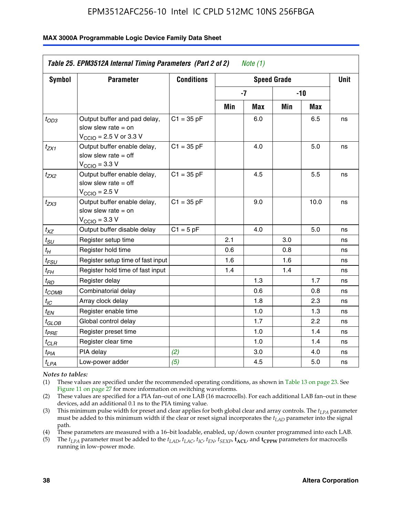#### **MAX 3000A Programmable Logic Device Family Data Sheet**

| Table 25. EPM3512A Internal Timing Parameters (Part 2 of 2)<br>Note $(1)$ |                                                                                                              |                   |      |             |       |      |    |
|---------------------------------------------------------------------------|--------------------------------------------------------------------------------------------------------------|-------------------|------|-------------|-------|------|----|
| Symbol                                                                    | <b>Parameter</b>                                                                                             | <b>Conditions</b> |      | <b>Unit</b> |       |      |    |
|                                                                           |                                                                                                              |                   | $-7$ |             | $-10$ |      |    |
|                                                                           |                                                                                                              |                   | Min  | <b>Max</b>  | Min   | Max  |    |
| $t_{OD3}$                                                                 | Output buffer and pad delay,<br>slow slew rate $=$ on<br>$V_{\text{CCIO}} = 2.5 \text{ V or } 3.3 \text{ V}$ | $C1 = 35 pF$      |      | 6.0         |       | 6.5  | ns |
| $t_{ZX1}$                                                                 | Output buffer enable delay,<br>slow slew rate $=$ off<br>$V_{\text{CCIO}} = 3.3 \text{ V}$                   | $C1 = 35 pF$      |      | 4.0         |       | 5.0  | ns |
| $t_{ZX2}$                                                                 | Output buffer enable delay,<br>slow slew rate $=$ off<br>$V_{\text{CCIO}} = 2.5 V$                           | $C1 = 35 pF$      |      | 4.5         |       | 5.5  | ns |
| t <sub>ZX3</sub>                                                          | Output buffer enable delay,<br>slow slew rate $=$ on<br>$V_{\text{CCIO}} = 3.3 V$                            | $C1 = 35 pF$      |      | 9.0         |       | 10.0 | ns |
| $t_{XZ}$                                                                  | Output buffer disable delay                                                                                  | $C1 = 5pF$        |      | 4.0         |       | 5.0  | ns |
| $t_{\scriptstyle SU}$                                                     | Register setup time                                                                                          |                   | 2.1  |             | 3.0   |      | ns |
| $t_{H}$                                                                   | Register hold time                                                                                           |                   | 0.6  |             | 0.8   |      | ns |
| $t_{\it FSU}$                                                             | Register setup time of fast input                                                                            |                   | 1.6  |             | 1.6   |      | ns |
| t <sub>FH</sub>                                                           | Register hold time of fast input                                                                             |                   | 1.4  |             | 1.4   |      | ns |
| $t_{BD}$                                                                  | Register delay                                                                                               |                   |      | 1.3         |       | 1.7  | ns |
| t <sub>COMB</sub>                                                         | Combinatorial delay                                                                                          |                   |      | 0.6         |       | 0.8  | ns |
| $t_{IC}$                                                                  | Array clock delay                                                                                            |                   |      | 1.8         |       | 2.3  | ns |
| $t_{EN}$                                                                  | Register enable time                                                                                         |                   |      | 1.0         |       | 1.3  | ns |
| t <sub>GLOB</sub>                                                         | Global control delay                                                                                         |                   |      | 1.7         |       | 2.2  | ns |
| t <sub>PRE</sub>                                                          | Register preset time                                                                                         |                   |      | 1.0         |       | 1.4  | ns |
| $t_{CLR}$                                                                 | Register clear time                                                                                          |                   |      | 1.0         |       | 1.4  | ns |
| t <sub>PIA</sub>                                                          | PIA delay                                                                                                    | (2)               |      | 3.0         |       | 4.0  | ns |
| $t_{LPA}$                                                                 | Low-power adder                                                                                              | (5)               |      | 4.5         |       | 5.0  | ns |

*Notes to tables:*

(1) These values are specified under the recommended operating conditions, as shown in Table 13 on page 23. See Figure 11 on page 27 for more information on switching waveforms.

(2) These values are specified for a PIA fan–out of one LAB (16 macrocells). For each additional LAB fan–out in these devices, add an additional 0.1 ns to the PIA timing value.

(3) This minimum pulse width for preset and clear applies for both global clear and array controls. The *tLPA* parameter must be added to this minimum width if the clear or reset signal incorporates the *tLAD* parameter into the signal path.

(4) These parameters are measured with a 16–bit loadable, enabled, up/down counter programmed into each LAB.

(5) The  $t_{LPA}$  parameter must be added to the  $t_{LAD}$ ,  $t_{LAC}$ ,  $t_{IC}$ ,  $t_{EN}$ ,  $t_{SEXP}$ ,  $t_{ACL}$ , and  $t_{CPPW}$  parameters for macrocells running in low–power mode.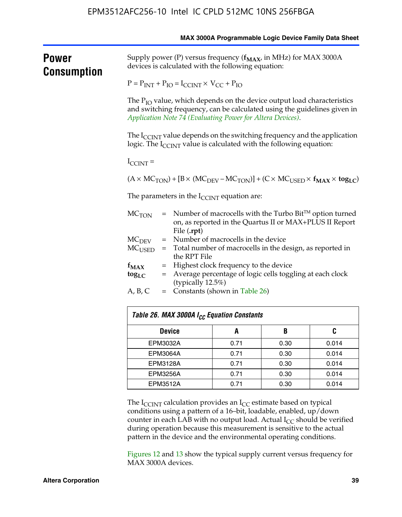|                      |                                                                                                                                                                                                                              |                                                                                                                                                                       |      |      | MAX 3000A Programmable Logic Device Family Data Sheet |  |  |  |
|----------------------|------------------------------------------------------------------------------------------------------------------------------------------------------------------------------------------------------------------------------|-----------------------------------------------------------------------------------------------------------------------------------------------------------------------|------|------|-------------------------------------------------------|--|--|--|
| Power<br>Consumption | Supply power (P) versus frequency $(f_{MAX}$ , in MHz) for MAX 3000A<br>devices is calculated with the following equation:                                                                                                   |                                                                                                                                                                       |      |      |                                                       |  |  |  |
|                      | $P = P_{INT} + P_{IO} = I_{CCINT} \times V_{CC} + P_{IO}$                                                                                                                                                                    |                                                                                                                                                                       |      |      |                                                       |  |  |  |
|                      | The P <sub>IO</sub> value, which depends on the device output load characteristics<br>and switching frequency, can be calculated using the guidelines given in<br>Application Note 74 (Evaluating Power for Altera Devices). |                                                                                                                                                                       |      |      |                                                       |  |  |  |
|                      |                                                                                                                                                                                                                              | The $I_{\text{CCINT}}$ value depends on the switching frequency and the application<br>logic. The I <sub>CCINT</sub> value is calculated with the following equation: |      |      |                                                       |  |  |  |
|                      | $I_{\text{CCINT}}$ =                                                                                                                                                                                                         |                                                                                                                                                                       |      |      |                                                       |  |  |  |
|                      |                                                                                                                                                                                                                              | $(A \times MC_{TON}) + [B \times (MC_{DEV} - MC_{TON})] + (C \times MC_{USED} \times f_{MAX} \times tog_{LC})$                                                        |      |      |                                                       |  |  |  |
|                      |                                                                                                                                                                                                                              | The parameters in the $I_{\text{CCINT}}$ equation are:                                                                                                                |      |      |                                                       |  |  |  |
|                      | MC <sub>TON</sub>                                                                                                                                                                                                            | $=$ Number of macrocells with the Turbo Bit <sup>TM</sup> option turned<br>on, as reported in the Quartus II or MAX+PLUS II Report<br>File (.rpt)                     |      |      |                                                       |  |  |  |
|                      |                                                                                                                                                                                                                              | = Number of macrocells in the device<br>$MC$ <sub>DEV</sub>                                                                                                           |      |      |                                                       |  |  |  |
|                      | $MC_{\rm{USED}}$                                                                                                                                                                                                             | = Total number of macrocells in the design, as reported in<br>the RPT File                                                                                            |      |      |                                                       |  |  |  |
|                      | $f_{MAX}$                                                                                                                                                                                                                    | = Highest clock frequency to the device                                                                                                                               |      |      |                                                       |  |  |  |
|                      | $\log_{LC}$                                                                                                                                                                                                                  | = Average percentage of logic cells toggling at each clock<br>(typically 12.5%)                                                                                       |      |      |                                                       |  |  |  |
|                      | A, B, C                                                                                                                                                                                                                      | $=$ Constants (shown in Table 26)                                                                                                                                     |      |      |                                                       |  |  |  |
|                      |                                                                                                                                                                                                                              | Table 26. MAX 3000A I <sub>CC</sub> Equation Constants                                                                                                                |      |      |                                                       |  |  |  |
|                      |                                                                                                                                                                                                                              | <b>Device</b>                                                                                                                                                         | A    | B    | C                                                     |  |  |  |
|                      | EPM3032A                                                                                                                                                                                                                     |                                                                                                                                                                       | 0.71 | 0.30 | 0.014                                                 |  |  |  |
|                      | EPM3064A                                                                                                                                                                                                                     |                                                                                                                                                                       | 0.71 | 0.30 | 0.014                                                 |  |  |  |
|                      | EPM3128A                                                                                                                                                                                                                     |                                                                                                                                                                       | 0.71 | 0.30 | 0.014                                                 |  |  |  |
|                      | <b>EPM3256A</b>                                                                                                                                                                                                              |                                                                                                                                                                       | 0.71 | 0.30 | 0.014                                                 |  |  |  |

The  $I_{\text{CCINT}}$  calculation provides an  $I_{\text{CC}}$  estimate based on typical conditions using a pattern of a 16–bit, loadable, enabled, up/down counter in each LAB with no output load. Actual  $I_{CC}$  should be verified during operation because this measurement is sensitive to the actual pattern in the device and the environmental operating conditions.

EPM3512A 0.71 0.30 0.014

Figures 12 and 13 show the typical supply current versus frequency for MAX 3000A devices.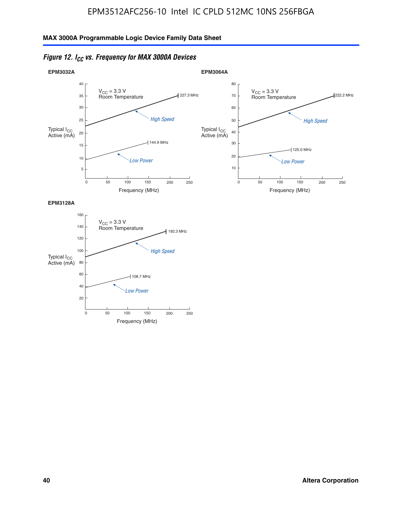



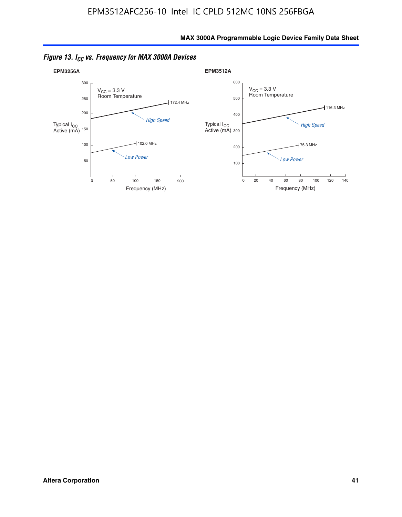

*Figure 13. ICC vs. Frequency for MAX 3000A Devices*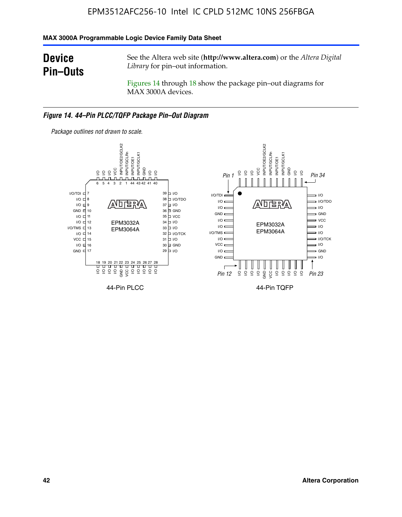### **MAX 3000A Programmable Logic Device Family Data Sheet**

### **Device Pin–Outs**

See the Altera web site (**http://www.altera.com**) or the *Altera Digital Library* for pin–out information.

Figures 14 through 18 show the package pin–out diagrams for MAX 3000A devices.

#### *Figure 14. 44–Pin PLCC/TQFP Package Pin–Out Diagram*



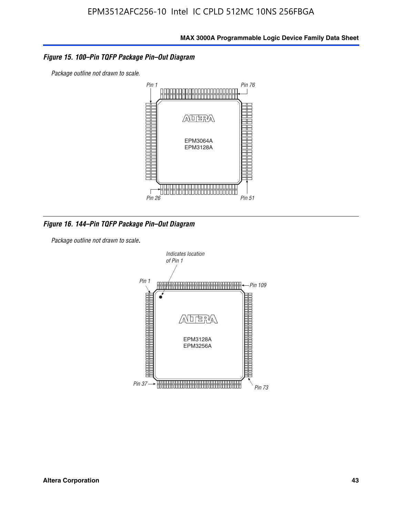### *Figure 15. 100–Pin TQFP Package Pin–Out Diagram*

*Package outline not drawn to scale.*



*Figure 16. 144–Pin TQFP Package Pin–Out Diagram*

*Package outline not drawn to scale*.

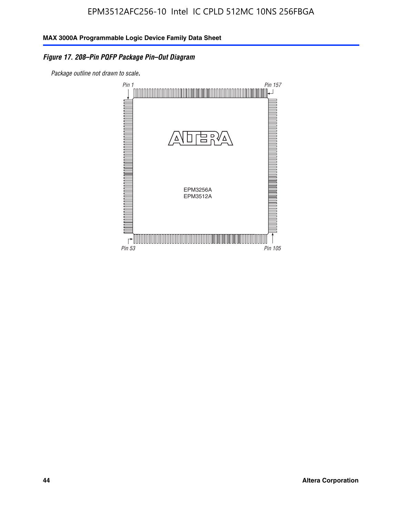### *Figure 17. 208–Pin PQFP Package Pin–Out Diagram*

*Package outline not drawn to scale*.

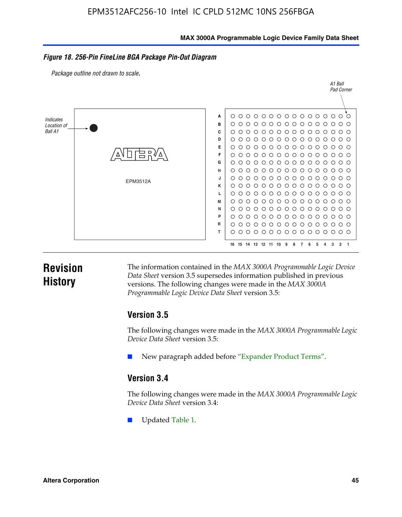#### **MAX 3000A Programmable Logic Device Family Data Sheet**

#### *Figure 18. 256-Pin FineLine BGA Package Pin-Out Diagram*

*Package outline not drawn to scale*.



### **Revision History**

The information contained in the *MAX 3000A Programmable Logic Device Data Sheet* version 3.5 supersedes information published in previous versions. The following changes were made in the *MAX 3000A Programmable Logic Device Data Sheet* version 3.5:

### **Version 3.5**

The following changes were made in the *MAX 3000A Programmable Logic Device Data Sheet* version 3.5:

New paragraph added before "Expander Product Terms".

### **Version 3.4**

The following changes were made in the *MAX 3000A Programmable Logic Device Data Sheet* version 3.4:

Updated Table 1.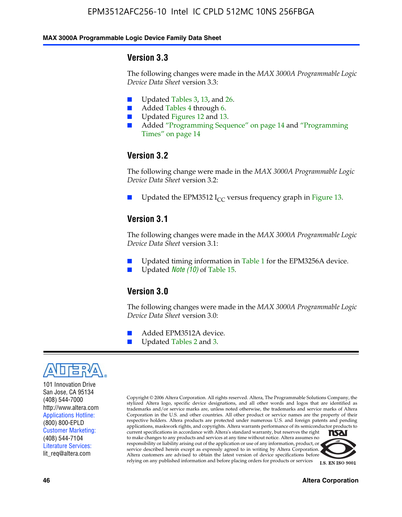#### **MAX 3000A Programmable Logic Device Family Data Sheet**

### **Version 3.3**

The following changes were made in the *MAX 3000A Programmable Logic Device Data Sheet* version 3.3:

- Updated Tables 3, 13, and 26.
- Added Tables 4 through 6.
- Updated Figures 12 and 13.
- Added "Programming Sequence" on page 14 and "Programming Times" on page 14

### **Version 3.2**

The following change were made in the *MAX 3000A Programmable Logic Device Data Sheet* version 3.2:

Updated the EPM3512 I<sub>CC</sub> versus frequency graph in Figure 13.

### **Version 3.1**

The following changes were made in the *MAX 3000A Programmable Logic Device Data Sheet* version 3.1:

- Updated timing information in Table 1 for the EPM3256A device.
- Updated *Note* (10) of Table 15.

### **Version 3.0**

The following changes were made in the *MAX 3000A Programmable Logic Device Data Sheet* version 3.0:

- Added EPM3512A device.
- Updated Tables 2 and 3.



101 Innovation Drive San Jose, CA 95134 (408) 544-7000 http://www.altera.com Applications Hotline: (800) 800-EPLD Customer Marketing: (408) 544-7104 Literature Services: lit\_req@altera.com

Copyright © 2006 Altera Corporation. All rights reserved. Altera, The Programmable Solutions Company, the stylized Altera logo, specific device designations, and all other words and logos that are identified as trademarks and/or service marks are, unless noted otherwise, the trademarks and service marks of Altera Corporation in the U.S. and other countries. All other product or service names are the property of their respective holders. Altera products are protected under numerous U.S. and foreign patents and pending applications, maskwork rights, and copyrights. Altera warrants performance of its semiconductor products to current specifications in accordance with Altera's standard warranty, but reserves the right **NSAI** to make changes to any products and services at any time without notice. Altera assumes no responsibility or liability arising out of the application or use of any information, product, or

service described herein except as expressly agreed to in writing by Altera Corporation. Altera customers are advised to obtain the latest version of device specifications before



relying on any published information and before placing orders for products or services **I.S. EN ISO 9001**